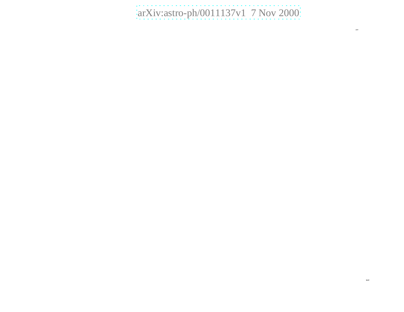# [arXiv:astro-ph/0011137v1 7 Nov 2000](http://arxiv.org/abs/astro-ph/0011137v1)

 $\overline{\phantom{a}}$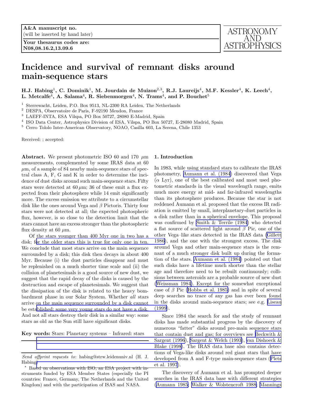Your thesaurus codes are: N08,08.16.2,13.09.6



## Incidence and survival of remnant disks around main-sequence stars

H.J. Habing<sup>1</sup>, C. Dominik<sup>1</sup>, M. Jourdain de Muizon<sup>2,3</sup>, R.J. Laureijs<sup>4</sup>, M.F. Kessler<sup>4</sup>, K. Leech<sup>4</sup>, L. Metcalfe $^4$ , A. Salama $^4$ , R. Siebenmorgen $^4$ , N. Trams $^4$ , and P. Bouchet $^5$ 

<sup>1</sup> Sterrewacht, Leiden, P.O. Box 9513, NL-2300 RA Leiden, The Netherlands

<sup>2</sup> DESPA, Observatoire de Paris, F-92190 Meudon, France

<sup>3</sup> LAEFF-INTA, ESA Vilspa, PO Box 50727, 28080 E-Madrid, Spain

4 ISO Data Center, Astrophysics Division of ESA, Vilspa, PO Box 50727, E-28080 Madrid, Spain

<sup>5</sup> Cerro Tololo Inter-American Observatory, NOAO, Casilla 603, La Serena, Chile 1353

Received: ; accepted:

**Abstract.** We present photometric ISO 60 and 170  $\mu$ m measurements, complemented by some IRAS data at 60  $\mu$ m, of a sample of 84 nearby main-sequence stars of spectral class A, F, G and K in order to determine the incidence of dust disks around such main-sequence stars. Fifty stars were detected at  $60 \mu m$ ; 36 of these emit a flux expected from their photosphere while 14 emit significantly more. The excess emission we attribute to a circumstellar disk like the ones around Vega and  $\beta$  Pictoris. Thirty four stars were not detected at all; the expected photospheric flux, however, is so close to the detection limit that the stars cannot have an excess stronger than the photospheric flux density at 60  $\mu$ m.

Of the stars younger than 400 Myr one in two has a disk; f[or the older stars this is true for only one in ten.](#page-14-0) We conclude that most stars arrive on the main sequence surrounded by a disk; this disk then decays in about 400 Myr. Because (i) the dust particles disappear and must be replenished on a much shorter time scale and (ii) the collision of planetesimals is a good source of new dust, we suggest that the rapid decay of the disks is caused by the destruction and escape of planetesimals. We suggest that the dissipation of the disk is related to the heavy bombardment phase in our Solar System. Whether all stars arrive on the main sequence surrounded by a disk cannot be est[ablished: some very young stars do not have a disk.](#page-14-0) And not all stars destroy their disk in a similar way: some stars as old as the Sun still have significant disks.

Key words: Stars: Planetary systems – Infrared: stars

## 1. Introduction

In 1983, while using standard stars to calibrate the IRAS photometry, [Aumann et al. \(1984](#page-13-0)) discovered that Vega  $(\alpha$  Lyr), one of the best calibrated and most used photometric standards in the visual wavelength range, emits much more energy at mid- and far-infrared wavelengths than its photosphere produces. Because the star is not reddened Aumann et al. proposed that the excess IR radiation is emitted by small, interplanetary-dust particles in a disk rather than in a spherical envelope. This proposal was confirmed by [Smith & Terrile \(1984](#page-14-0)) who detected a flat source of scattered light around  $\beta$  Pic, one of the other Vega–like stars detected in the IRAS data [\(Gillett](#page-14-0) 1986), and the one with the strongest excess. The disk around Vega and other main-sequence stars is the remnant of a much stronger disk built up during the formation of the stars. [Aumann et al. \(1984\)](#page-13-0) pointed out that such disks have a lifetime much shorter than the stellar age and therefore need to be rebuilt continuously; collisions between asteroids are a probable source of new dust ([Weissman 1984\)](#page-14-0). Except for the somewhat exceptional case of  $\beta$  Pic [\(Hobbs et al. 1985\)](#page-14-0) and in spite of several deep searches no trace of any gas has ever been found in the disks around main-sequence stars; see e.g. [Liseau](#page-14-0) (1999).

Since 1984 the search for and the study of remnant disks has made substantial progress by the discovery of numerous "fatter" disks around pre-main sequence stars that contain dust and gas; for overviews see Beckwith  $\&$ [Sargent \(1996](#page-13-0)), [Sargent & Welch \(1993\)](#page-14-0), [van Dishoeck &](#page-14-0) [Blake \(1998\)](#page-14-0). The IRAS data base also contains detections of Vega-like disks around red giant stars that have developed from A and F-type main-sequence stars([Plets](#page-14-0) et al. 1997).

The discovery of Aumann et al. has prompted deeper searches in the IRAS data base with different strategies ([Aumann 1985;](#page-13-0) [Walker & Wolstencroft 1988; Mannings](#page-14-0)

Send offprint requests to: habing@strw.leidenuniv.nl (H. J. Habing)

<sup>⋆</sup> Bas[ed on observations with ISO, an ESA project with in](#page-14-0)struments funded by ESA Member States (especially the PI countries: France, Germany, The Netherlands and the United Kingdom) and with the participation of ISAS and NASA.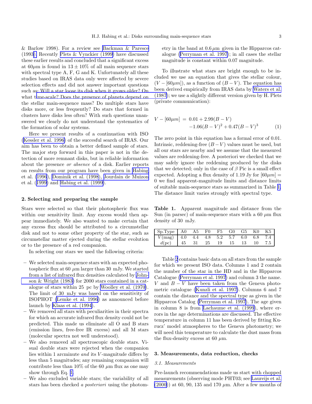<span id="page-2-0"></span>& Barlow 1998). For a review see [Backman & Paresce](#page-13-0) (199[3\).](#page-13-0) Recently [Plets & Vynckier \(1999\)](#page-14-0) have discussed these earlier results and concluded that a significant excess at  $60\mu$ m is found in  $13 \pm 10\%$  of all main sequence stars with spectral type A, F, G and K. Unfortunately all these studies based on IRAS data only were affected by severe selection effects and did not answer important questions such as: Will a star loose its disk when it grows older? On whatt[ime-scale? Does the presence of planets depend on](#page-14-0) the stellar main-sequence mass? Do multiple stars have disks more, or less frequently? Do stars that formed in clusters have disks less often? With such questions unanswered we clearly do not understand the systematics of the formation of solar systems.

Here we present results of a continuation with ISO ([Kessler et al. 1996\)](#page-14-0) of the succesful search of IRAS. Our aim has been to obtain a better defined sample of stars. The major step forward in this paper is not in the detection of more remnant disks, but in reliable information about the presence or absence of a disk. Earlier reports on results from our program have been given in [Habing](#page-14-0) et al. [\(1996](#page-14-0)), [Dominik et al. \(1998](#page-13-0)), [Jourdain de Muizon](#page-14-0) et al.([1999\)](#page-14-0) and [Habing et al. \(1999\)](#page-14-0).

## 2. Selecting and preparing the sample

Stars were selected so that their photospheric flux was within our sensitivity limit. Any excess would then appear immediately. We also wanted to make certain that any excess flux should be attributed to a circumstellar disk and not to some other property of the star, such as circumstellar matter ejected during the stellar evolution or to the presence of a red companion.

In selecting our stars we used the following criteria:

- We selected main-sequence stars with an expected photospheric flux at 60  $\mu$ m larger than 30 mJy. We started from a list of infrared flux densities calculated by [John](#page-14-0)[son & Wright \(1983\)](#page-14-0) for 2000 stars contained in a catalogue of stars within 25 pc by [Woolley et al. \(1970](#page-14-0)). The limit of 30 mJy was based on the sensitivity of ISOPHOT [\(Lemke et al. 1996](#page-14-0)) as announced before launch by [Klaas et al. \(1994\)](#page-14-0).
- We removed all stars with peculiarities in their spectra for which an accurate infrared flux density could not be predicted. This made us eliminate all O and B stars (emission lines, free-free IR excess) and all M stars (molecular spectra not well understood).
- We also removed all spectroscopic double stars. Visual double stars were rejected when the companion lies within 1 arcminute *and* its V-magnitude differs by less than 5 magnitudes; any remaining companion will contribute less than 10% of the 60  $\mu$ m flux as one may show through Eq. 1.
- We also excluded variable stars; the variability of all stars has been checked a posteriori using the photom-

etry in the band at  $0.6 \mu m$  given in the Hipparcos catalogue [\(Perryman et al. 1997](#page-14-0)); in all cases the stellar magnitude is constant within 0.07 magnitude.

To illustrate what stars are bright enough to be included we use an equation that gives the stellar colour,  $(V - [60\mu m])$ , as a function of  $(B - V)$ . The equation has been derived empirically from IRAS data by [Waters et al.](#page-14-0) (1987); we use a slightly different version given by H. Plets (private communication):

$$
V - [60\mu m] = 0.01 + 2.99(B - V)
$$
  
-1.06(B - V)<sup>2</sup> + 0.47(B - V)<sup>3</sup> (1)

The zero point in this equation has a formal error of 0.01. Intrinsic, reddening-free  $(B-V)$  values must be used, but all our stars are nearby and we assume that the measured values are reddening-free. A posteriori we checked that we may safely ignore the reddening produced by the disks that we detected; only in the case of  $\beta$  Pic is a small effect expected. Adopting a flux density of 1.19 Jy for  $[60 \mu m] =$ 0 we find apparent-magnitude limits and distance limits of suitable main-sequence stars as summarized in Table 1. The distance limit varies strongly with spectral type.

Table 1. Apparent magnitude and distance from the Sun (in parsec) of main-sequence stars with a 60  $\mu$ m flux density of 30 mJy.

| $Sp. Type \nvert A0 \nvert A5$ F0 F5 G0 G5 K0 K5 |  |  |  |  |
|--------------------------------------------------|--|--|--|--|
| $V(mag)$ 4.0 4.4 4.8 5.2 5.7 6.0 6.8 7.4         |  |  |  |  |
| $d(pc)$ 45 31 25 19 15 13 10 7.5                 |  |  |  |  |

Table [2](#page-3-0) contains basic data on all stars from the sample for which we present ISO data. Columns 1 and 2 contain the number of the star in the HD and in the Hipparcos Catalogue [\(Perryman et al. 1997\)](#page-14-0) and column 3 the name. V and  $B - V$  have been taken from the Geneva photometric catalogue [\(Kunzli et al. 1997\)](#page-14-0). Columns 6 and 7 contain the distance and the spectral type as given in the Hipparcos Catalog [\(Perryman et al. 1997](#page-14-0)). The age given in column 8 is from [Lachaume et al. \(1999](#page-14-0)), where errors in the age determinations are discussed. The effective temperature in column 11 has been derived by fitting Kurucz' model atmospheres to the Geneva photometry; we will need this temperature to calculate the dust mass from the flux-density excess at 60  $\mu$ m.

#### 3. Measurements, data reduction, checks

#### 3.1. Measurements

Pre-launch recommendations made us start with chopped measurements (observing mode PHT03; see [Laureijs et al.](#page-14-0)  $(2000)$  at 60, 90, 135 and 170  $\mu$ m. After a few months of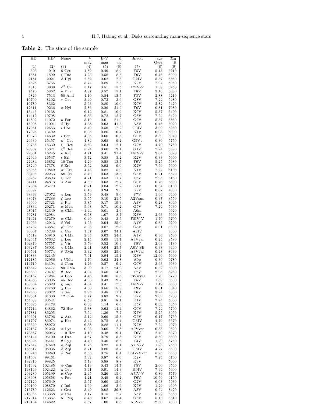<span id="page-3-0"></span>Table 2. The stars of the sample

| HD               | HIP              | Name                               | V                | $B-V$           | d               | Spect.                  | age           | $T_{\rm eff}$ |
|------------------|------------------|------------------------------------|------------------|-----------------|-----------------|-------------------------|---------------|---------------|
| (1)              | (2)              | (3)                                | mag<br>(4)       | mag<br>(5)      | pc<br>(6)       | (7)                     | Gyrs<br>(8)   | Κ<br>(9)      |
| 693              | $91\overline{0}$ | 6 Cet                              | 4.89             | 0.49            | 18.9            | F5V                     | 5.13          | 6210          |
| 1581             | 1599             | $\zeta$ Tuc                        | 4.23             | 0.58            | 8.6             | F9V                     | 6.46          | 5990          |
| 2151             | 2021             | $\beta$ Hyi                        | 2.82             | 0.62            | 7.5             | G2IV                    | $5.37\,$      | 5850          |
| 4628<br>4813     | 3765<br>3909     | $\phi^2$ Cet                       | 5.74<br>5.17     | 0.89<br>0.51    | 7.5<br>15.5     | K2V<br>F7IV-V           | 7.94<br>1.38  | 5050<br>6250  |
| 7570             | 5862             | $\nu$ Phe                          | 4.97             | 0.57            | 15.1            | F8V                     | 3.16          | 6080          |
| 9826             | 7513             | 50 And                             | 4.10             | 0.54            | 13.5            | F8V                     | 2.88          | 6210          |
| 10700            | 8102             | $\tau$ Cet                         | 3.49             | 0.73            | 3.6             | G8V                     | 7.24          | 5480          |
| 10780<br>12311   | 8362<br>9236     | $\alpha$ Hyi                       | 5.63<br>2.86     | 0.80<br>0.29    | 10.0<br>21.9    | K0V<br>F <sub>0</sub> V | 2.82<br>0.81  | 5420<br>7080  |
| 13445            | 10138            |                                    | 6.12             | 0.81            | 10.9            | K <sub>0</sub> V        | 5.37          | 5400          |
| 14412            | 10798            |                                    | 6.33             | 0.72            | 12.7            | G8V                     | 7.24          | 5420          |
| 14802            | 11072<br>11001   | $\kappa$ For                       | 5.19<br>4.08     | 0.61<br>0.03    | 21.9            | G2V<br>A3V              | 5.37          | 5850          |
| 15008<br>17051   | 12653            | $\delta$ Hyi<br>$\iota$ Hor        | 5.40             | 0.56            | 41.5<br>17.2    | G3IV                    | 0.45<br>3.09  | 8920<br>6080  |
| 17925            | 13402            |                                    | 6.05             | 0.86            | 10.4            | K1V                     | 0.08          | 5000          |
| 19373            | 14632            | $\iota$ Per                        | 4.05             | 0.60            | $10.5\,$        | G0V                     | 3.39          | 6040          |
| 20630            | 15457            | $\kappa^1$<br>Cet<br>$\zeta^1$ Ret | 4.84             | 0.68            | 9.2             | G5Vv                    | 0.30          | 5750          |
| 20766<br>20807   | 15330<br>15371   | $\zeta^2$<br>Ret                   | $5.53\,$<br>5.24 | 0.64<br>0.60    | 12.1<br>12.1    | G2V<br>G1V              | 4.79<br>7.24  | 5750<br>5890  |
| 22001            | 16245            | $\kappa$ Ret                       | 4.71             | 0.41            | 21.4            | F5IV-V                  | 2.04          | 6620          |
| 22049            | 16537            | $\epsilon$ Eri                     | 3.72             | 0.88            | 3.2             | K2V                     | 0.33          | 5000          |
| 22484            | 16852            | 10 Tau                             | 4.29             | 0.58            | 13.7            | F9V<br>K <sub>2</sub> V | 5.25          | 5980          |
| 23249<br>26965   | 17378<br>19849   | $\delta$ Eri<br>$o^2$ Eri          | 3.52<br>4.43     | 0.92<br>0.82    | 9.0<br>$5.0\,$  | K1V                     | 7.59<br>7.24  | 5000<br>5100  |
| 30495            | 22263            | 58 Eri                             | 5.49             | 0.63            | 13.3            | G3V                     | 0.21          | 5820          |
| 33262            | 23693            | $\zeta$ Dor                        | 4.71             | 0.53            | 11.7            | F7V                     | 2.95          | 6160          |
| 34411            | 24813            | $\lambda$ Aur                      | 4.69             | 0.63            | 12.7            | G0V                     | 6.76          | 5890          |
| 37394<br>38392   | 26779            |                                    | 6.21<br>6.15     | 0.84<br>0.94    | 12.2<br>9.0     | K1V<br>K2V              | 0.34<br>0.87  | 5100<br>4950  |
| 38393            | 27072            | $\gamma$ Lep                       | 3.59             | 0.48            | 9.0             | F7V                     | 1.66          | 6400          |
| 38678            | 27288            | $\zeta$ Lep                        | 3.55             | 0.10            | $21.5\,$        | A2Vann                  | 0.37          | 8550          |
| 39060<br>43834   | 27321<br>29271   | $\beta$ Pic<br>$\alpha$ Men        | 3.85<br>5.08     | 0.17<br>0.71    | 19.3<br>10.2    | A3V<br>G5V              | 0.28<br>7.24  | 8040<br>5630  |
| 48915            | 32349            | $\alpha$ CMa                       | $-1.44$          | 0.01            | 2.6             | A0m                     |               | 9920          |
| 50281            | 32984            |                                    | 6.58             | 1.07            | 8.7             | K3V                     | 2.63          | 5000          |
| 61421            | 37279            | $\alpha$ CMi                       | 0.40             | 0.43            | 3.5             | F5IV-V                  | 1.70          | 6700          |
| 74956<br>75732   | 42913<br>43587   | $\delta$ Vel<br>$\rho^1$ Cnc       | 1.93<br>5.96     | 0.04<br>0.87    | 25.0<br>12.5    | A1V<br>G8V              | 0.35<br>5.01  | 9200<br>5300  |
| 80007            | 45238            | $\beta$ Car                        | 1.67             | 0.07            | 34.1            | A <sub>2IV</sub>        |               | 8600          |
| 95418            | 53910            | $\beta$ UMa                        | 2.34             | 0.03            | 24.4            | A1V                     | 0.36          | 9530          |
| 102647           | 57632            | $\beta$ Leo                        | 2.14             | 0.09            | 11.1            | A3Vvar                  | 0.24          | 8580          |
| 102870<br>103287 | 57757<br>58001   | $\beta$ Vir<br>$\gamma$ UMa        | 3.59<br>2.41     | 0.52<br>0.04    | 10.9<br>25.7    | F8V<br>${\rm A0V}$ SB   | 2.63<br>0.38  | 6180<br>9440  |
| 106591           | 59774            | $\delta$ UMa                       | 3.32             | 0.08            | 25.0            | A3Vvar                  | 0.48          | 8630          |
| 110833           | 62145            |                                    | 7.01             | 0.94            | 15.1            | K3V                     | 12.60         | 5000          |
| 112185<br>114710 | 62956<br>64394   | $\epsilon$ UMa<br>$\beta$ Com      | 1.76<br>4.23     | $-0.02$<br>0.57 | 24.8<br>$9.2\,$ | A0p<br>$_{\rm GOV}$     | 0.30<br>3.63  | 9780<br>6030  |
| 116842           | 65477            | 80 UMa                             | 3.99             | 0.17            | 24.9            | $_{\rm A5V}$            | 0.32          | 8000          |
| 126660           | 70497            | $\theta$ Boo                       | 4.04             | 0.50            | 14.6            | F7V                     | 2.95          | 6280          |
| 128167           | 71284            | $\sigma$ Boo                       | 4.46             | 0.36            | 15.5            | F3Vwvar                 | 1.70          | 6770          |
| 134083<br>139664 | 73996<br>76829   | 45 Boo<br>$g$ Lup                  | 4.93<br>4.64     | 0.43<br>0.41    | 19.7<br>17.5    | F5V<br>F5IV-V           | 1.82<br>1.12  | 6500<br>6680  |
| 142373           | 77760            | $\chi$ Her                         | 4.60             | 0.56            | 15.9            | F9V                     | 8.51          | 5840          |
| 142860           | 78072            | $\gamma$ Ser                       | 3.85             | 0.48            | 11.1            | F6V                     | 3.24          | 6330          |
| 149661<br>154088 | 81300<br>83541   | 12 Oph                             | 5.77             | 0.83            | 9.8<br>18.1     | $_{\rm K2V}$<br>K1V     | 2.09<br>7.24  | 5200          |
| 156026           | 84478            |                                    | 6.59<br>6.33     | 0.81<br>1.14    | 6.0             | K5V                     | 0.63          | 5000<br>4350  |
| 157214           | 84862            | 72 Her                             | 5.38             | 0.62            | 14.4            | G0V                     | 7.24          | 5790          |
| 157881           | 85295            |                                    | 7.54             | 1.36            | 7.7             | K7V                     | 5.25          | 3950          |
| 160691<br>161797 | 86796<br>86974   | $\mu$ Ara<br>$\mu$ Her             | 5.12<br>3.42     | 0.69<br>0.75    | 15.3<br>8.4     | G5V<br>G5IV             | 6.17<br>4.79  | 5750<br>5670  |
| 166620           | 88972            |                                    | 6.38             | 0.88            | 11.1            | $_{\rm K2V}$            | 7.24          | 4970          |
| 172167           | 91262            | $\alpha$ Lyr                       | 0.03             | 0.00            | 7.8             | A0Vvar                  | 0.35          | 9620          |
| 173667           | 92043<br>96100   | $110$ Her                          | 4.19             | 0.48            | 19.1            | F6V                     | 2.40<br>5.50  | 6370          |
| 185144<br>185395 | 96441            | $\sigma$ Dra<br>$\theta$ Cyg       | 4.67<br>4.49     | 0.79<br>0.40    | 5.8<br>18.6     | K0V<br>F4V              | 1.29          | 5330<br>6750  |
| 187642           | 97649            | $\alpha$ Aql                       | 0.76             | 0.22            | 5.1             | A7IV-V                  | 1.23          | 7550          |
| 188512           | 98036            | $\beta$ Aql                        | 3.71             | 0.86            | 13.7            | G8IV                    | 4.27          | 5500          |
| 190248<br>191408 | 99240<br>99461   | $\delta$ Pav                       | 3.55<br>5.32     | 0.75<br>0.87    | 6.1<br>6.0      | G5IV-Vvar<br>K2V        | 5.25<br>7.24  | 5650<br>4700  |
| 192310           | 99825            |                                    | 5.73             | 0.88            | 8.8             | K3V                     |               | 5000          |
| 197692           | 102485           | $\psi$ Cap                         | 4.13             | 0.43            | 14.7            | F5V                     | 2.00          | 6540          |
| 198149           | 102422           | $\eta$ Cep                         | 3.41             | 0.91            | 14.3            | K0IV                    | 7.94          | 5000          |
| 203280<br>203608 | 105199<br>105858 | $\alpha$ Cep<br>$\gamma$ Pav       | 2.45<br>4.21     | 0.26<br>0.49    | 15.0<br>9.2     | A7IV-V<br>F6V           | 0.89<br>10.50 | 7570<br>6150  |
| 207129           | 107649           |                                    | 5.57             | 0.60            | 15.6            | G2V                     | 6.03          | 5930          |
| 209100           | 108870           | $\zeta$ Ind                        | 4.69             | 1.06            | 3.6             | K5V                     | 1.29          | 4600          |
| 215789           | 112623           | $\epsilon$ Gru<br>$\alpha$ Psa     | 3.49             | 0.08            | 39.8            | A3V<br>A3V              | 0.54          | 8420          |
| 216956<br>217014 | 113368<br>113357 | 51 Peg                             | 1.17<br>5.45     | 0.15<br>0.67    | 7.7<br>15.4     | G5V                     | 0.22<br>5.13  | 8680<br>5810  |
| 219134           | 114622           |                                    | 5.57             | 1.00            | 6.5             | K3Vvar                  | 12.60         | 4800          |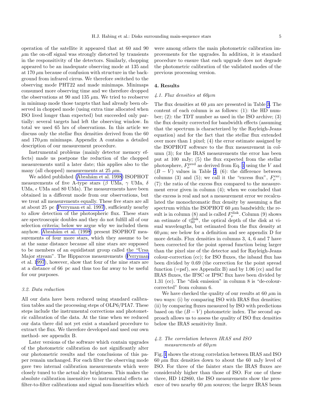operation of the satellite it appeared that at 60 and 90  $\mu$ m the on-off signal was strongly distorted by transients in the responsitivity of the detectors. Similarly, chopping appeared to be an inadequate observing mode at 135 and at 170  $\mu$ m because of confusion with structure in the background from infrared cirrus. We therefore switched to the observing mode PHT22 and made minimaps. Minimaps consumed more observing time and we therefore dropped the observations at 90 and 135  $\mu$ m. We tried to reobserve in minimap mode those targets that had already been observed in chopped mode (using extra time allocated when ISO lived longer than expected) but succeeded only partially: several targets had left the observing window. In total we used 65 hrs of observations. In this article we discuss only the stellar flux densities derived from the 60 and  $170 \mu m$  minimaps. Appendix A contains a detailed description of our measurement procedure.

Instrumental problems (mainly detector memory effects) made us postpone the reduction of the chopped measurements until a later date; this applies also to the many (all chopped) measurements at  $25 \mu m$ .

Weadded published (Abrahám et al. 1998) ISOPHOT measurements of five A-type stars (β UMa,  $\gamma$  UMa, δ UMa,  $\epsilon$  UMa and 80 UMa). The measurements have been obtained in a different mode from our observations, but we treat all measurements equally. These five stars are all at about 25 pc [\(Perryman et al. 1997\)](#page-14-0), sufficiently nearby to allow detection of the photospheric flux. These stars are spectroscopic doubles and they do not fulfill all of our selection criteria; below we argue why we included them anyhow. Abrahám et al. (1998) present ISOPHOT measurements of four more stars, which they assume to be at the same distance because all nine stars are supposed to be members of an equidistant group called the "Ursa Major stream". The Hipparcos measurements([Perryman](#page-14-0) et al. [1997](#page-14-0)), however, show that four of the nine stars are at a distance of 66 pc and thus too far away to be useful for our purposes.

## 3.2. Data reduction

All our data have been reduced using standard calibration tables and the processing steps of OLP6/PIA7. These steps include the instrumental corrections and photometric calibration of the data. At the time when we reduced our data there did not yet exist a standard procedure to extract the flux. We therefore developed and used our own method- see appendix B.

Later versions of the software which contain upgrades of the photometric calibration do not significantly alter our photometric results and the conclusions of this paper remain unchanged. For each filter the observing mode gave two internal calibration measurements which were closely tuned to the actual sky brightness. This makes the absolute calibration insensitive to instrumental effects as filter-to-filter calibrations and signal non-linearities which

were among others the main photometric calibration improvements for the upgrades. In addition, it is standard procedure to ensure that each upgrade does not degrade the photometric calibration of the validated modes of the previous processing version.

#### 4. Results

## 4.1. Flux densities at  $60 \mu m$

The flux densities at 60  $\mu$ m are presented in Table [3](#page-5-0). The content of each column is as follows: (1): the HD number; (2): the TDT number as used in the ISO archive; (3) the flux density corrected for bandwidth effects (assuming that the spectrum is characterized by the Rayleigh-Jeans equation) and for the fact that the stellar flux extended over more than 1 pixel; (4) the error estimate assigned by the ISOPHOT software to the flux measurement in column (3); for the IRAS measurements the error has been put at 100 mJy; (5) the flux expected from the stellar photosphere,  $F_{\nu}^{\text{pred}}$  as derived from Eq. [1](#page-2-0) using the V and  $(B - V)$  values in Table [2](#page-3-0); (6): the difference between columns (3) and (5); we call it the "excess flux",  $F_{\nu}^{\text{exc}}$ ; (7): the ratio of the excess flux compared to the measurement error given in column (4); when we concluded that the excess is real and not a measurement error we recalculated the monochromatic flux density by assuming a flat spectrum within the ISOPHOT 60  $\mu$ m bandwidth; the result is in column (8) and is called  $F_{\nu}^{\text{disk}}$ . Column (9) shows an estimate of  $\tau_{60}^{\text{disk}}$ , the optical depth of the disk at visual wavelengths, but estimated from the flux density at  $60 \mu m$ ; see below for a definition and see appendix D for more details. Flux densities in columns 3, 4, 6 and 7 have been corrected for the point spread function being larger than the pixel size of the detector and for Rayleigh-Jeans colour-correction (cc); for ISO fluxes, the inband flux has been divided by 0.69 (the correction for the point spread function  $(=\text{psf})$ , see Appendix B) and by 1.06 (cc) and for IRAS fluxes, the IFSC or IPSC flux have been divided by 1.31 (cc). The "disk emission" in column 8 is "de-colourcorrected" from column 6.

We have checked the quality of our results at 60  $\mu$ m in two ways: (i) by comparing ISO with IRAS flux densities; (ii) by comparing fluxes measured by ISO with predictions based on the  $(B - V)$  photometric index. The second approach allows us to assess the quality of ISO flux densities below the IRAS sensitivity limit.

## 4.2. The correlation between IRAS and ISO measurements at  $60 \mu m$

Fig. [1](#page-7-0) shows the strong correlation between IRAS and ISO 60  $\mu$ m flux densities down to about the 60 mJy level of ISO. For three of the fainter stars the IRAS fluxes are considerably higher than those of ISO. For one of these three, HD 142860, the ISO measurements show the presence of two nearby 60  $\mu$ m sources; the larger IRAS beam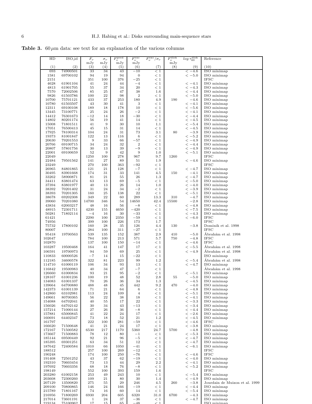<span id="page-5-0"></span>Table 3.  $60\,\mu\mathrm{m}$  data: see text for an explanation of the various columns

| HD               | ISO id               | $F_{\nu}$    | $\sigma_{\nu}$ | $F_{\nu}^{\rm pred}$ | $F_{\nu}^{\rm exc}$     | $F_{\nu}^{\rm exc}$<br>$\sigma_{\nu}$ | $F_{\nu}^{\rm disk}$ | $log \, \tau_{60}^{\rm disk}$ | Reference                          |
|------------------|----------------------|--------------|----------------|----------------------|-------------------------|---------------------------------------|----------------------|-------------------------------|------------------------------------|
| (1)              | (2)                  | mJy<br>(3)   | mJy<br>(4)     | mJy<br>(5)           | mJy<br>(6)              | (7)                                   | mJy<br>(8)           | (9)                           | (10)                               |
| 693              | 74900501             | 33           | 34             | 43                   | $^{-10}$                | < 1                                   |                      | $<-4.6$                       | ISO minimap                        |
| 1581             | 69700102             | 94           | 19             | 94                   | $\boldsymbol{0}$        | < 1                                   |                      | $<-5.0$                       | ISO minimap                        |
| 2151             |                      | 351          | 100            | 376                  | $^{-25}$                | < 1                                   |                      |                               | <b>IFSC</b>                        |
| 4628             | 61901104             | 41           | 24             | 44                   | $-4$                    | < 1                                   |                      | $<-4.1$                       | ISO minimap                        |
| 4813             | 61901705             | 55           | 37             | 34                   | 20                      | < 1                                   |                      | $<-4.3$                       | ISO minimap                        |
| 7570             | 72002506             | 85           | 25             | 47                   | 38                      | 1.6                                   |                      | $<-4.4$                       | ISO minimap                        |
| 9826<br>10700    | 61503786<br>75701121 | 100<br>433   | 22<br>37       | 98<br>253            | $\boldsymbol{2}$<br>180 | < 1<br>4.9                            | 190                  | $<-5.0$<br>$-4.6$             | ISO minimap<br>ISO minimap         |
| 10780            | 61503507             | 43           | 30             | 41                   | 3                       | < 1                                   |                      | $<-4.1$                       | ISO minimap                        |
| 12311            | 69100108             | 189          | 18             | 178                  | 10                      | < 1                                   |                      | $<-5.6$                       | ISO minimap                        |
| 13445            | 73100771             | 25           | 24             | 26                   | $-2$                    | < 1                                   |                      | $<-4.1$                       | ISO minimap                        |
| 14412            | 76301673             | $-12$        | 14             | 18                   | $-30$                   | < 1                                   |                      | $<-4.4$                       | ISO minimap                        |
| 14802            | 80201174             | 56           | 19             | 41                   | 14                      | < 1                                   |                      | $<-4.5$                       | ISO minimap                        |
| 15008            | 71801511             | 41           | 9              | 30                   | 10                      | 1.1                                   |                      | $<-5.4$                       | ISO minimap                        |
| 17051            | 76500413             | 45           | 15             | 31                   | 14                      | < 1                                   |                      | $<-4.5$                       | ISO minimap                        |
| 17925<br>19373   | 78100314<br>81001847 | 104<br>122   | 24<br>13       | 31<br>116            | 73<br>$\,6$             | 3.1<br>< 1                            | 80                   | $-3.9$<br>$<-5.2$             | ISO minimap<br>ISO minimap         |
| 20630            | 79201553             | 9            | 33             | 66                   | $-57$                   | < 1                                   |                      | $<-4.9$                       | ISO minimap                        |
| 20766            | 69100715             | 34           | 24             | 32                   | $\,2$                   | < 1                                   |                      | $<-4.4$                       | ISO minimap                        |
| 20807            | 57801756             | 30           | 13             | 39                   | $-9$                    | < 1                                   |                      | $<-4.9$                       | ISO minimap                        |
| 22001            | 69100659             | $52\,$       | 9              | 42                   | 9                       | 1.0                                   |                      | $<-5.1$                       | ISO minimap                        |
| 22049            |                      | 1250         | 100            | 278                  | 967                     | 9.7                                   | 1260                 |                               | <b>IFSC</b>                        |
| 22484            | 79501562             | 141          | 27             | 89                   | 51                      | 1.9                                   |                      | $<-4.6$                       | ISO minimap                        |
| 23249            |                      | 270          | 100            | 363                  | $-92\,$                 | < 1                                   |                      |                               | <b>IFSC</b>                        |
| 26965<br>30495   | 84801865             | 121          | 21             | 128                  | $-7$                    | < 1                                   |                      | $<-4.7$<br>$-4.1$             | ISO minimap<br>ISO minimap         |
| 33262            | 83901668<br>58900871 | 174<br>81    | 31<br>21       | 33<br>55             | 141<br>26               | 4.5<br>1.3                            | 150                  | $<-4.7$                       | ISO minimap                        |
| 34411            | 83801474             | 63           | 13             | 69                   | $-5$                    | < 1                                   |                      | $<-5.0$                       | ISO minimap                        |
| 37394            | 83801977             | 40           | 13             | 26                   | 14                      | 1.0                                   |                      | $<-4.0$                       | ISO minimap                        |
| 38392            | 70201402             | 31           | 24             | 34                   | $^{-2}$                 | < 1                                   |                      | $<-3.9$                       | ISO minimap                        |
| 38393            | 70201305             | 160          | 25             | 138                  | 22                      | < 1                                   |                      | $<-5.1$                       | ISO minimap                        |
| 38678            | 69202308             | 349          | 22             | 60                   | 289                     | 13.3                                  | 310                  | $-4.7$                        | ISO minimap                        |
| 39060            | 70201080             | 14700        | 346            | 54                   | 14650                   | 42.4                                  | 15500                | $-2.8$                        | ISO minimap                        |
| 43834            | 62003217             | 48           | 16             | 56                   | $-8$<br>$-420$          | < 1                                   |                      | $<-4.8$                       | ISO minimap                        |
| 48915<br>50281   | 72301711<br>71802114 | 4230<br>$-4$ | 155<br>16      | 4650<br>30           | $-33$                   | < 1<br>< 1                            |                      | $<-7.5$<br>$<-4.3$            | ISO minimap<br>ISO minimap         |
| 61421            |                      | 2290         | 100            | 2350                 | $-59$                   | < 1                                   |                      | $<-6.0$                       | <b>IFSC</b>                        |
| 74956            |                      | 399          | 100            | 226                  | 173                     | 1.7                                   |                      |                               | <b>IPSC</b>                        |
| 75732            | 17800102             | 160          | 28             | 35                   | 126                     | 4.4                                   | 130                  | $-3.8$                        | Dominik et al. 1998                |
| 80007            |                      | 284          | 100            | 311                  | $-27$                   | < 1                                   |                      |                               | <b>IFSC</b>                        |
| 95418            | 19700563             | 539          | 135            | 152                  | 387                     | 2.9                                   | 410                  | $-5.0$                        | Ábrahám et al. 1998                |
| 102647           |                      | 784          | 100            | 213                  | 571                     | 5.7                                   | 750                  | $-4.8$                        | <b>IFSC</b>                        |
| 102870           |                      | 137          | 100            | 150                  | $-14$                   | < 1                                   |                      | $<-4.6$                       | <b>IFSC</b>                        |
| 103287           | 19500468             | 164          | 41             | 147                  | 17                      | < 1                                   |                      | $<-5.5$                       | Abrahám et al. 1998                |
| 106591           | 19700973             | 94           | 59             | 69                   | 25                      | < 1                                   |                      | $<-4.9$                       | Abrahám et al. 1998                |
| 110833           | 60000526             | $-7$         | 14             | 15                   | $-22$                   | < 1                                   |                      |                               | ISO minimap                        |
| 112185           | 34600578             | 322<br>106   | 81             | 223                  | 99                      | 1.2                                   |                      | $<-5.4$<br>$<-4.7$            | Ábrahám et al. 1998                |
| 114710           | 61000119             |              | 34             | 93                   | 13                      | < 1                                   |                      |                               | ISO minimap                        |
| 116842<br>126660 | 19500983<br>61000834 | 40<br>93     | 34<br>21       | 47<br>95             | $-7$<br>$-2$            | < 1<br>< 1                            |                      | $<-5.1$                       | Abrahám et al. 1998<br>ISO minimap |
| 128167           | 61001236             | 100          | 19             | 48                   | 52                      | 2.8                                   | 55                   | $-5.0$                        | ISO minimap                        |
| 134083           | 61001337             | 70           | 26             | 36                   | 34                      | 1.3                                   |                      | $<-4.5$                       | ISO minimap                        |
| 139664           | 64700880             | 488          | 48             | 45                   | 442                     | 9.2                                   | 470                  | 4.0                           | ISO minimap                        |
| 142373           | 61001139             | 71           | 21             | 64                   | 6                       | < 1                                   |                      | $<-4.8$                       | ISO minimap                        |
| 142860           | 63102981             | 113          | 24             | 109                  | $\overline{\mathbf{4}}$ | < 1                                   |                      | $<-5.1$                       | ISO minimap                        |
| 149661           | 80700365             | 56           | 22             | 38                   | 18                      | $\leq 1$                              |                      | $<-4.1$                       | ISO minimap                        |
| 154088<br>156026 | 64702041<br>64702142 | 40<br>30     | 55<br>34       | 17<br>43             | ${\bf 22}$<br>$-13$     | $\leq 1$<br>< 1                       |                      | $<-3.3$<br>$<-3.4$            | ISO minimap<br>ISO minimap         |
| 157214           | 71000144             | 27           | 26             | 36                   | $-8$                    | $\leq 1$                              |                      | $<-4.4$                       | ISO minimap                        |
| 157881           | 65000845             | 41           | $\bf{^{22}}$   | 24                   | 17                      | < 1                                   |                      | $<-2.6$                       | ISO minimap                        |
| 160691           | 64402347             | 73           | 18             | 52                   | 21                      | 1.2                                   |                      | $<-4.5$                       | ISO minimap                        |
| 161797           |                      | 222          | 100            | 281                  | $-59$                   | $\leq 1$                              |                      | $<-4.6$                       | <b>IFSC</b>                        |
| 166620           | 71500648             | 41           | 21             | 24                   | 17                      | < 1                                   |                      | $<-3.8$                       | ISO minimap                        |
| 172167           | 71500582             | 6530         | 217            | 1170                 | 5360                    | 24.7                                  | 5700                 | $-4.8$                        | ISO minimap                        |
| 173667           | 71500883             | 78           | 12             | 80                   | $-1$                    | < 1                                   |                      | $<-5.3$                       | ISO minimap                        |
| 185144<br>185395 | 69500449             | 92<br>63     | 21             | 96                   | $-5$<br>12              | < 1                                   |                      | $<-4.7$<br>$<-4.7$            | ISO minimap<br>ISO minimap         |
| 187642           | 69301251<br>72400584 | 1010         | 34<br>66       | 51<br>1050           | $-41$                   | $\leq 1$<br>$\leq 1$                  |                      | $<-6.1$                       | ISO minimap                        |
| 188512           |                      | 257          | 100            | 269                  | $-12$                   | < 1                                   |                      |                               | <b>IFSC</b>                        |
| 190248           |                      | 174          | 100            | 250                  | $-76$                   | $\leq 1$                              |                      | $<-4.6$                       | <b>IFSC</b>                        |
| 191408           | 72501252             | 43           | 37             | 62                   | $-19$                   | < 1                                   |                      | $<-4.0$                       | ISO minimap                        |
| 192310           | 70603454             | 73           | 13             | 44                   | 29                      | $2.2\,$                               |                      | $<-4.1$                       | ISO minimap                        |
| 197692           | 70603356             | 68           | 18             | 76                   | $-8$                    | $\leq 1$                              |                      | $<-5.2$                       | ISO minimap                        |
| 198149           |                      | 552          | 100            | 393                  | 159                     | 1.6                                   |                      |                               | <b>IFSC</b>                        |
| 203280<br>203608 | 61002158<br>72300260 | 253<br>109   | 49<br>21       | 243<br>80            | 10<br>30                | $\leq 1$<br>1.4                       |                      | $\rm < -5.4$<br>$<-4.9$       | ISO minimap<br>ISO minimap         |
| 207129           | 13500820             | 275          | 55             | 29                   | 246                     | 4.5                                   | 260                  | $-3.8$                        | Jourdain de Muizon et al. 1999     |
| 209100           | 70800865             | 146          | 24             | 166                  | $-19\,$                 | < 1                                   |                      | $<-4.4$                       | ISO minimap                        |
| 215789           | 71801167             | 74           | 16             | 60                   | 14                      | < 1                                   |                      | $<-5.4$                       | ISO minimap                        |
| 216956           | 71800269             | 6930         | 204            | 605                  | 6320                    | 31.0                                  | 6700                 | $-4.3$                        | ISO minimap                        |
| 217014           | 73601191             | $\mathbf{1}$ | 24             | 37                   | $-36$                   | $<\,1$                                |                      | $<-4.7$                       | ISO minimap                        |
| 219134           | 75100962             | 17           | 15             | 65                   | $-48$                   | $\lt$ 1                               |                      |                               | ISO miniman                        |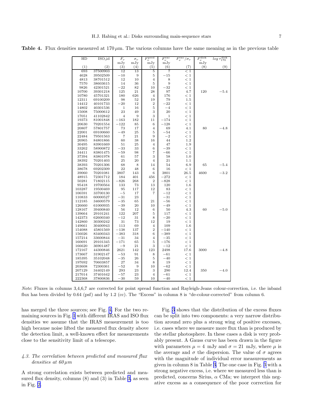<span id="page-6-0"></span>**Table 4.** Flux densities measured at  $170 \mu m$ . The various columns have the same meaning as in the previous table

| HD             | ISO_id               | $F_{\nu}$    | $\sigma_{\nu}$ | $F_{\nu}^{\rm pred}$ | $F_{\nu}^{\rm exc}$ | $F_{\nu}^{\rm exc}$<br>$\sigma_{\nu}$ | $F^{\rm disk}$<br>$\overline{\nu}$ | disk<br>$log \tau_{170}^{\rm u.s.}$ |
|----------------|----------------------|--------------|----------------|----------------------|---------------------|---------------------------------------|------------------------------------|-------------------------------------|
|                |                      | mJy          | mJy            | mJy                  | mJy                 |                                       | mJy                                |                                     |
| (1)            | (2)                  | (3)          | (4)            | (5)                  | (6)                 | (7)                                   | (8)                                | (9)                                 |
| 693            | 37500903             | 12           | 13             | 5                    | 7                   | < 1                                   |                                    |                                     |
| 4628           | 39502509             | $-10$        | 9              | 5                    | $-15$               | $<\,1$                                |                                    |                                     |
| 4813           | 38701512             | 12           | 10             | $\overline{4}$       | 8                   | < 1                                   |                                    |                                     |
| 7570           | 38603615             | 14           | 36             | 5                    | 9                   | < 1                                   |                                    |                                     |
| 9826           | 42301521             | $-22$        | 82             | 10                   | $-32$               | $<\,1$                                |                                    |                                     |
| 10700          | 39301218             | 125          | 21             | 28                   | 97                  | 4.7                                   | 120                                | $-5.4$                              |
| 10780          | 45701321             | 180          | 626            | $\overline{4}$       | 176                 | < 1                                   |                                    |                                     |
| 12311          | 69100209             | 98           | 52             | 19                   | 79                  | $1.5\,$                               |                                    |                                     |
| 14412          | 40101733             | $-20$        | 12             | $\,2$                | $^{-22}$            | < 1                                   |                                    |                                     |
| 14802          | 40301536             | $\mathbf{1}$ | 16             | 5                    | $-4$                | < 1                                   |                                    |                                     |
| 15008          | 75000612             | 23           | 49             | 3                    | 20                  | < 1                                   |                                    |                                     |
| 17051          | 41102842             | 4            | 9              | 3                    | 1                   | < 1                                   |                                    |                                     |
| 19373          | 81001848             | $^{-163}$    | 182            | 11                   | $-174$              | < 1                                   |                                    |                                     |
| 20630          | 79201554             | $-122$       | 85             | 6                    | $-128$              | < 1                                   |                                    |                                     |
| 20807          | 57801757             | 73           | 17             | $\overline{4}$       | 69                  | 4.1                                   | 80                                 | $-4.8$                              |
| 22001          | 69100660             | $-49$        | 25             | 5                    | $-54$               | < 1                                   |                                    |                                     |
| 22484          | 79501563             | 7            | 21             | 9                    | $^{-2}$<br>44       | < 1<br>1.2                            |                                    |                                     |
| 26965<br>30495 | 84801866<br>83901669 | 60<br>51     | 38<br>25       | 16<br>$\overline{4}$ | 47                  | 1.9                                   |                                    |                                     |
| 33262          |                      | -33          | 33             | 6                    | $-39$               | < 1                                   |                                    |                                     |
| 34411          | 58900872<br>83801475 | $-59$        | 98             | 7                    | -66                 |                                       |                                    |                                     |
| 37394          | 83801978             | 61           | 57             | 3                    | 58                  | < 1<br>1.0                            |                                    |                                     |
| 38392          | 70201403             | 25           | 20             | $\overline{4}$       | 21                  | 1.1                                   |                                    |                                     |
| 38393          | 70201306             | 68           | 8              | 14                   | 54                  | 6.9                                   | 65                                 | $^{ -5.4}$                          |
| 38678          | 69202309             | 22           | 48             | 6                    | 16                  | < 1                                   |                                    |                                     |
| 39060          | 70201081             | 3807         | 143            | 6                    | 3801                | 26.5                                  | 4600                               | $-3.2$                              |
| 48915          | 72301712             | 184          | 401            | 456                  | $-272$              | < 1                                   |                                    |                                     |
| 50281          | 71802115             | $-826$       | 268            | $\overline{2}$       | $-828$              | < 1                                   |                                    |                                     |
| 95418          | 19700564             | 133          | 73             | 13                   | 120                 | 1.6                                   |                                    |                                     |
| 103287         | 19500469             | 95           | 117            | 12                   | 83                  | < 1                                   |                                    |                                     |
| 106591         | 33700130             | $-5$         | 17             | 7                    | $-12$               | < 1                                   |                                    |                                     |
| 110833         | 60000527             | $-31$        | 23             |                      | $-31$               | < 1                                   |                                    |                                     |
| 112185         | 34600579             | $^{-35}$     | 65             | 21                   | $-56$               | < 1                                   |                                    |                                     |
| 126660         | 61000935             | $-39$        | 20             | 10                   | $-49$               | < 1                                   |                                    |                                     |
| 128167         | 39400840             | 56           | 12             | 6                    | 50                  | 4.3                                   | 60                                 | $-5.0$                              |
| 139664         | 29101241             | 122          | 207            | 5                    | 117                 | < 1                                   |                                    |                                     |
| 142373         | 62600340             | $^{-12}$     | 31             | 8                    | $-20$               | < 1                                   |                                    |                                     |
| 142860         | 30300242             | 31           | 73             | 12                   | 19                  | < 1                                   |                                    |                                     |
| 149661         | 30400943             | 113          | 69             | $\overline{4}$       | 109                 | 1.6                                   |                                    |                                     |
| 154088         | 45801569             | $-138$       | 137            | $\overline{2}$       | $-140$              | < 1                                   |                                    |                                     |
| 156026         | 83400343             | $-383$       | 318            | 6                    | $-389$              | < 1                                   |                                    |                                     |
| 157214         | 33600844             | $-31$        | 34             | $\overline{4}$       | $-35$               | < 1                                   |                                    |                                     |
| 160691         | 29101345             | $-171$       | 65             | 5                    | $^{-176}$           | < 1                                   |                                    |                                     |
| 166620         | 36901487             | $-9$         | 21             | 3                    | $-12$               | < 1                                   |                                    |                                     |
| 172167         | 44300846             | 2621         | 142            | 123                  | 2498                | 17.6                                  | 3000                               | $-4.8$                              |
| 173667         | 31902147             | $^{-53}$     | 91             | 8                    | $^{-61}$            | < 1                                   |                                    |                                     |
| 185395         | 35102048             | $^{-35}$     | 26             | 5                    | $^{-40}$            | < 1                                   |                                    |                                     |
| 197692         | 70603857             | 27           | 34             | 8                    | 19                  | < 1                                   |                                    |                                     |
| 203608         | 72300361             | $^{-52}$     | 9              | 10                   | $^{-62}$            | < 1                                   |                                    |                                     |
| 207129         | 34402149             | 293          | 23             | 3                    | 290                 | 12.4                                  | 350                                | $^{-4.0}$                           |
| 217014         | 37401642             | $^{-57}$     | 23             | $\overline{4}$       | $^{-61}$            | < 1                                   |                                    |                                     |
| 222368         | 37800836             | $^{-30}$     | 59             | 10                   | $-40$               | < 1                                   |                                    |                                     |

Note: Fluxes in columns 3,4,6,7 are corrected for point spread function and Rayleigh-Jeans colour-correction, i.e. the inband flux has been divided by 0.64 (psf) and by 1.2 (cc). The "Excess" in column 8 is "de-colour-corrected" from column 6.

has merged the three sources; see Fig. [4.](#page-8-0) For the two remaining sources in Fig. [1](#page-7-0) with different IRAS and ISO flux densities we assume that the IRAS measurement is too high because noise lifted the measured flux density above the detection limit, a well-known effect for measurements close to the sensitivity limit of a telescope.

## 4.3. The correlation between predicted and measured flux densities at  $60 \mu m$

A strong correlation exists between predicted and measured flux density, columns  $(8)$  and  $(3)$  in Table [3,](#page-5-0) as seen in Fig. [2](#page-7-0).

Fig. [3](#page-7-0) shows that the distribution of the excess fluxes can be split into two components: a very narrow distribution around zero plus a strong wing of positive excesses, i.e. cases where we measure more flux than is produced by the stellar photosphere. In these cases a disk is very probably present. A Gauss curve has been drawn in the figure with parameters  $\mu = 4$  mJy and  $\sigma = 21$  mJy, where  $\mu$  is the average and  $\sigma$  the dispersion. The value of  $\sigma$  agrees with the magnitude of individual error measurements as given in column 8 in Table [3.](#page-5-0) The one case in Fig. [3](#page-7-0) with a strong negative excess, i.e. where we measured less than is predicted, concerns Sirius,  $\alpha$  CMa; we interpret this negative excess as a consequence of the poor correction for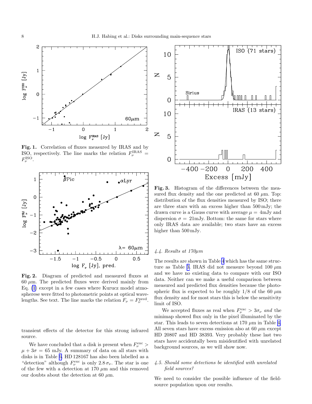<span id="page-7-0"></span>

Fig. 1. Correlation of fluxes measured by IRAS and by ISO, respectively. The line marks the relation  $F_{\nu}^{\text{IRAS}}$  =  $F_{\nu}^{\mathrm{ISO}}.$ 



Fig. 2. Diagram of predicted and measured fluxes at  $60 \mu m$ . The predicted fluxes were derived mainly from Eq. [\(1](#page-2-0)) except in a few cases where Kurucz model atmospherese were fitted to photometric points at optical wavelengths. See text. The line marks the relation  $F_{\nu} = F_{\nu}^{\text{pred}}$ .

transient effects of the detector for this strong infrared source.

We have concluded that a disk is present when  $F_\nu^{\rm exc} >$  $\mu + 3\sigma = 65$  mJy. A summary of data on all stars with disks is in Table [6.](#page-9-0) HD 128167 has also been labelled as a "detection" although  $F_{\nu}^{\text{exc}}$  is only  $2.8 \sigma_{\nu}$ . The star is one of the few with a detection at 170  $\mu$ m and this removed our doubts about the detection at 60  $\mu$ m.



Fig. 3. Histogram of the differences between the measured flux density and the one predicted at 60  $\mu$ m. Top: distribution of the flux densities measured by ISO; there are three stars with an excess higher than 500 mJy; the drawn curve is a Gauss curve with average  $\mu = 4$ mJy and dispersion  $\sigma = 21 \text{mJy}$ . Bottom: the same for stars where only IRAS data are available; two stars have an excess higher than  $500 \,\mathrm{mJy}$ .

## 4.4. Results at 170µm

The results are shown in Table [4](#page-6-0) which has the same struc-ture as Table [3.](#page-5-0) IRAS did not measure beyond 100  $\mu$ m and we have no existing data to compare with our ISO data. Neither can we make a useful comparison between measured and predicted flux densities because the photospheric flux is expected to be roughly  $1/8$  of the 60  $\mu$ m flux density and for most stars this is below the sensitivity limit of ISO.

We accepted fluxes as real when  $F_{\nu}^{\text{exc}} > 3\sigma_{\nu}$  and the minimap showed flux only in the pixel illuminated by the star. This leads to seven detections at 170  $\mu$ m in Table [4.](#page-6-0) All seven stars have excess emission also at 60  $\mu$ m except HD 20807 and HD 38393. Very probably these last two stars have accidentally been misidentified with unrelated background sources, as we will show now.

## 4.5. Should some detections be identified with unrelated field sources?

We need to consider the possible influence of the fieldsource population upon our results.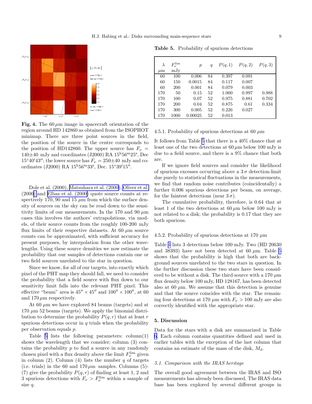<span id="page-8-0"></span>

Fig. 4. The  $60 \mu m$  image in spacecraft orientation of the region around HD 142860 as obtained from the ISOPHOT minimap. There are three point sources in the field, the position of the source in the centre corresponds to the position of HD142860. The upper source has  $F_{\nu}$  =  $140\pm40$  mJy and coordinates (J2000) RA  $15^{\text{h}}56^{\text{m}}25^{\text{s}}$ , Dec  $15^{\circ}40'43''$ ; the lower source has  $F_{\nu} = 250 \pm 40$  mJy and coordinates (J2000) RA  $15^{\text{h}}56^{\text{m}}33^{\text{s}}$ , Dec.  $15^{\circ}39'15''$ .

Dole et al. (2000), [Matsuhara et al. \(2000\)](#page-14-0), [Oliver et al.](#page-14-0) (200[0\)](#page-14-0) and [Elbaz et al. \(2000\)](#page-13-0) quote source counts at respectively 170, 90 and 15  $\mu$ m from which the surface density of sources on the sky can be read down to the sensitivity limits of our measurements. In the 170 and 90  $\mu$ m cases this involves the authors' extrapolations, via models, of their source counts from the roughly 100-200 mJy flux limits of their respective datasets. At 60  $\mu$ m source counts can be approximated, with sufficient accuracy for present purposes, by interpolation from the other wavelengths. Using these source densities we now estimate the probability that our samples of detections contain one or two field sources unrelated to the star in question.

Since we know, for all of our targets, into exactly which pixel of the PHT map they should fall, we need to consider the probability that a field source with flux down to our sensitivity limit falls into the relevant PHT pixel. This effective "beam" area is  $45'' \times 45''$  and  $100'' \times 100''$ , at 60 and  $170 \mu m$  respectively.

At 60  $\mu$ m we have explored 84 beams (targets) and at  $170 \ \mu m$  52 beams (targets). We apply the binomial distribution to determine the probability  $P(q, r)$  that at least r spurious detections occur in  $q$  trials when the probability per observation equals p.

Table 5 lists the following parameters:  $\text{column}(1)$ shows the wavelength that we consider; column (3) contains the probability  $p$  to find a source in any randomly chosen pixel with a flux density above the limit  $F_{\nu}^{\lim}$  given in column (2). Column (4) lists the number  $q$  of targets (i.e. trials) in the 60 and  $170 \,\mu \text{m}$  samples. Columns (5)-(7) give the probability  $P(q, r)$  of finding at least 1, 2 and 3 spurious detections with  $F_{\nu} > F_{\nu}^{\text{lim}}$  within a sample of size q.

Table 5. Probability of spurious detections

| $\lambda$<br>$\mu$ m | $F_{\nu}^{\rm lim}$<br>mJy | $\boldsymbol{p}$ | q  | P(q,1) | P(q,2) | P(q,3) |
|----------------------|----------------------------|------------------|----|--------|--------|--------|
| 60                   | 100                        | 0.006            | 84 | 0.397  | 0.091  |        |
| 60                   | 150                        | 0.0015           | 84 | 0.117  | 0.007  |        |
| 60                   | 200                        | 0.001            | 84 | 0.079  | 0.003  |        |
| 170                  | 50                         | 0.15             | 52 | 1.000  | 0.997  | 0.988  |
| 170                  | 100                        | 0.07             | 52 | 0.975  | 0.881  | 0.702  |
| 170                  | 200                        | 0.04             | 52 | 0.875  | 0.61   | 0.334  |
| 170                  | 300                        | 0.005            | 52 | 0.226  | 0.027  |        |
| 170                  | 1000                       | 0.00025          | 52 | 0.013  |        |        |

#### 4.5.1. Probability of spurious detections at 60  $\mu$ m

It follows from Table 5 that there is a 40% chance that at least one of the two detections at  $60 \mu m$  below 100 mJy is due to a field source, and there is a 9% chance that both are.

If we ignore field sources and consider the likelihood of spurious excesses occurring above a  $3\sigma$  detection-limit due purely to statistical fluctuations in the measurements, we find that random noise contributes (coincidentally) a further 0.006 spurious detections per beam, on average, for the faintest detections (near  $3\sigma$ ).

The cumulative probability, therefore, is 0.64 that at least 1 of the two detections at  $60 \mu m$  below 100 mJy is not related to a disk; the probability is 0.17 that they are both spurious.

#### 4.5.2. Probability of spurious detections at 170  $\mu$ m

Table [4](#page-6-0) lists 3 detections below 100 mJy. Two (HD 20630 and 38393) have not been detected at 60  $\mu$ m. Table 5 shows that the probability is high that both are background sources unrelated to the two stars in question. In the further discussion these two stars have been considered to be without a disk. The third source with a 170  $\mu$ m flux density below 100 mJy, HD 128167, has been detected also at 60  $\mu$ m. We assume that this detection is genuine and that the source coincides with the star. The remaining four detections at 170  $\mu$ m with  $F_{\nu} > 100$  mJy are also correctly identified with the appropriate star.

## 5. Discussion

Data for the stars with a disk are summarized in Table [6.](#page-9-0) Each column contains quantities defined and used in earlier tables with the exception of the last column that contains an estimate of the mass of the disk,  $M_d$ .

#### 5.1. Comparison with the IRAS heritage

The overall good agreement between the IRAS and ISO measurements has already been discussed. The IRAS data base has been explored by several different groups in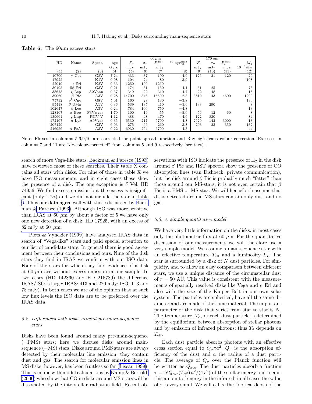<span id="page-9-0"></span>**Table 6.** The  $60\mu$ m excess stars

|                  |                       |                    |      |                  |                   | $60 \mu m$           |                                 |           | $170 \,\mathrm{\mu m}$ |                      |                             |
|------------------|-----------------------|--------------------|------|------------------|-------------------|----------------------|---------------------------------|-----------|------------------------|----------------------|-----------------------------|
| HD               | Name                  | Spect.             | age  | $F_{\nu}$        | $\sigma_{\nu}$    | $F_{\nu}^{\rm disk}$ | $^{10}\log\tau_{60}^{\rm disk}$ | $F_{\nu}$ | $\sigma_{\nu}$         | $F_{\nu}^{\rm disk}$ | $M_{\rm d}$                 |
|                  |                       |                    | Gyrs | mJy              | mJy               | mJy                  |                                 | mJy       | mJv                    | mJv                  | $10^{-5}$ b<br>$M_{\oplus}$ |
| $\left(1\right)$ | $^{\left( 2\right) }$ | $\left( 3\right)$  | (4)  | $\left(5\right)$ | $\left( 6\right)$ | (7)                  | (8)                             | (9)       | (10)                   | (11)                 | (12)                        |
| 10700            | $\tau$ Cet            | G8V                | 7.24 | 433              | 37                | 190                  | $-4.6$                          | 125       | 21                     | 120                  | 20                          |
| 17925            |                       | K1V                | 0.08 | 104              | 24                | 80                   | $-3.9$                          |           |                        |                      | 108                         |
| 22049            | $\epsilon$ Eri        | K2V                | 0.33 | 1250             | 100               | 1260                 |                                 |           |                        |                      |                             |
| 30495            | 58 Eri                | G3V                | 0.21 | 174              | 31                | 150                  | $-4.1$                          | 51        | 25                     |                      | 73                          |
| 38678            | $\zeta$ Lep           | A2Vann             | 0.37 | 349              | 22                | 310                  | $-4.7$                          | 22        | 48                     |                      | 18                          |
| 39060            | $\beta$ Pic           | A3V                | 0.28 | 14700            | 346               | 15500                | $-2.8$                          | 3810      | 143                    | 4600                 | 1200                        |
| 75732            | Cnc<br>$\rho^{\perp}$ | G8V                | 5.01 | 160              | 28                | 130                  | $-3.8$                          |           |                        |                      | 130                         |
| 95418            | $\beta$ UMa           | A1V                | 0.36 | 539              | 135               | 410                  | $-5.0$                          | 133       | 290                    |                      | 8                           |
| 102647           | $\beta$ Leo           | A3V                | 0.24 | 784              | 100               | 750                  | $-4.8$                          |           |                        |                      | 13                          |
| 128167           | $\sigma$ Boo          | F3Vwvar            | 1.70 | 100              | 19                | 55                   | $-5.0$                          | 56        | 12                     | 60                   | 8                           |
| 139664           | g Lup                 | F5IV-V             | 1.12 | 488              | 48                | 470                  | $-4.0$                          | 122       | 830                    |                      | 84                          |
| 172167           | $\alpha$ Lyr          | A0V <sub>var</sub> | 0.35 | 6530             | 217               | 5700                 | $-4.8$                          | 2620      | 142                    | 3000                 | 13                          |
| 207129           |                       | G2V                | 6.03 | 275              | 55                | 260                  | $-3.8$                          | 293       | 23                     | 350                  | 132                         |
| 216956           | $\alpha$ PsA          | A3V                | 0.22 | 6930             | 204               | 6700                 | $-4.3$                          |           |                        |                      | 44                          |

Note: Fluxes in columns 5,6,9,10 are corrected for point spread function and Rayleigh-Jeans colour-correction. Excesses in columns 7 and 11 are "de-colour-corrected" from columns 5 and 9 respectively (see text).

search of more Vega-like stars. [Backman & Paresce \(1993\)](#page-13-0) have reviewed most of these searches. Their table X contains all stars with disks. For nine of those in table X we have ISO measurements, and in eight cases these show the presence of a disk. The one exception is  $\delta$  Vel, HD 74956. We find excess emission but the excess is insignificant (only  $1.7\sigma$ ) and we did not include the star in table 6. Thus our data agree well with those discussed by [Back](#page-13-0)man [& Paresce \(1993\)](#page-13-0). Although ISO was more sensitive than IRAS at 60  $\mu$ m by about a factor of 5 we have only one new detection of a disk: HD 17925, with an excess of 82 mJy at 60  $\mu$ m.

Plets & Vynckier (1999) have analysed IRAS data in search of "Vega-like" stars and paid special attention to our list of candidate stars. In general there is good agreement between their conclusions and ours. Nine of the disk stars they find in IRAS we confirm with our ISO data. Four of the stars for which they find evidence of a disk at 60  $\mu$ m are without excess emission in our sample. In two cases (HD 142860 and HD 215789) the difference IRAS/ISO is large: IRAS: 413 and 220 mJy; ISO: 113 and 78 mJy). In both cases we are of the opinion that at such low flux levels the ISO data are to be preferred over the IRAS data.

## 5.2. Differences with disks around pre-main-sequence stars

Disks have been found around many pre-main-sequence (=PMS) stars; here we discuss disks around mainsequence (=MS) stars. Disks around PMS stars are always detected by their molecular line emission; they contain dust and gas. The search for molecular emission lines in MS disks, however, has been fruitless so far [\(Liseau 1999](#page-14-0)). This is in line with model calculations by [Kamp & Bertoldi](#page-14-0) [\(2000](#page-14-0)) who show that CO in disks around MS-stars will be dissociated by the interstellar radiation field. Recent observations with ISO indicate the presence of  $H_2$  in the disk around  $\beta$  Pic and HST spectra show the presence of CO absorption lines (van Dishoeck, private communication), but the disk around  $\beta$  Pic is probably much "fatter" than those around our MS-stars; it is not even certain that  $\beta$ Pic is a PMS or MS-star. We will henceforth assume that disks detected around MS-stars contain only dust and no gas.

## 5.3. A simple quantitative model

We have very little information on the disks: in most cases only the photometric flux at 60  $\mu$ m. For the quantitative discussion of our measurements we will therefore use a very simple model. We assume a main-sequence star with an effective temperature  $T_{\text{eff}}$  and a luminosity  $L_{\star}$ . The star is surrounded by a disk of N dust particles. For simplicity, and to allow an easy comparison between different stars, we use a unique distance of the circumstellar dust of  $r = 50$  AU. This value is consistent with the measurements of spatially resolved disks like Vega and  $\epsilon$  Eri and also with the size of the Kuiper Belt in our own solar system. The particles are spherical, have all the same diameter and are made of the same material. The important parameter of the disk that varies from star to star is N. The temperature,  $T<sub>d</sub>$ , of each dust particle is determined by the equilibrium between absorption of stellar photons and by emission of infrared photons; thus  $T_d$  depends on  $T_{\rm eff}$ .

Each dust particle absorbs photons with an effective cross section equal to  $Q_{\nu}\pi a^2$ ;  $Q_{\nu}$  is the absorption efficiency of the dust and a the radius of a dust particle. The average of  $Q_{\nu}$  over the Planck function will be written as  $Q_{\text{ave}}$ . The dust particles absorb a fraction  $\tau \equiv N Q_{\text{ave}}(T_{\text{eff}}) a^2/(4 r^2)$  of the stellar energy and reemit this amount of energy in the infrared; in all cases the value of  $\tau$  is very small. We will call  $\tau$  the "optical depth of the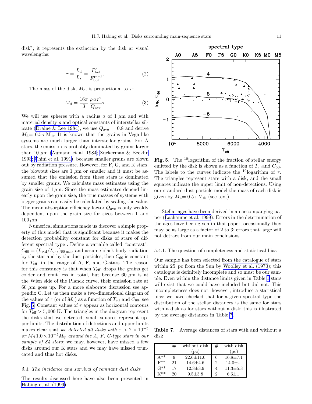disk"; it represents the extinction by the disk at visual wavelengths:

$$
\tau = \frac{L_d}{L_*} = \frac{F_{\text{bol}}^{\text{d}}}{F_{\text{bol}}^{\text{pred}}}.
$$
\n(2)

The mass of the disk,  $M_d$ , is proportional to  $\tau$ :

$$
M_{\rm d} = \frac{16\pi}{3} \frac{\rho \, a \, r^2}{Q_{\rm ave}} \tau \tag{3}
$$

We will use spheres with a radius a of  $1 \mu m$  and with material density  $\rho$  and optical constants of interstellar sil-icate([Draine & Lee 1984\)](#page-13-0); we use  $Q_{\text{ave}} = 0.8$  and derive  $M_{\rm d}$  = 0.5  $\tau$  M<sub> $\oplus$ </sub>. It is known that the grains in Vega-like systems are much larger than interstellar grains. For A stars, the emission is probably dominated by grains larger than 10  $\mu$ m [\(Aumann et al. 1984;](#page-13-0) [Zuckerman & Becklin](#page-14-0) 199[3;](#page-14-0) [Chini et al. 1991\)](#page-13-0), because smaller grains are blown out by radiation pressure. However, for F, G, and K stars, the blowout sizes are  $1 \mu m$  or smaller and it must be assumed that the emission from these stars is dominated by smaller grains. We calculate mass estimates using the grain size of  $1 \mu$ m. Since the mass estimates depend linearly upon the grain size, the true masses of systems with bigger grains can easily be calculated by scaling the value. The mean absorption efficiency factor  $Q_{\text{ave}}$  is only weakly dependent upon the grain size for sizes between 1 and  $100 \mu m$ .

Numerical simulations made us discover a simple property of this model that is significant because it makes the detection probability constant for disks of stars of different spectral type . Define a variable called "contrast":  $C_{60} \equiv (L_{\nu,d}/L_{\nu,*})_{60 \mu m}$ , and assume black body radiation by the star and by the dust particles, then  $C_{60}$  is constant for  $T_{\text{eff}}$  in the range of A, F, and G-stars. The reason for this constancy is that when  $T_{\text{eff}}$  drops the grains get colder and emit less in total, but because 60  $\mu$ m is at the Wien side of the Planck curve, their emission rate at  $60 \mu m$  goes up. For a more elaborate discussion see appendix C. Let us then make a two-dimensional diagram of the values of  $\tau$  (or of  $M_d$ ) as a function of  $T_{\text{eff}}$  and  $C_{60}$ : see Fig. 5. Constant values of  $\tau$  appear as horizontal contours for  $T_{\text{eff}} > 5,000$  K. The triangles in the diagram represent the disks that we detected; small squares represent upper limits. The distribution of detections and upper limits makes clear that we detected all disks with  $\tau > 2 \times 10^{-5}$ or  $M_{\rm d}$  1.0 × 10<sup>-5</sup> $M_{\oplus}$  around the A, F, G-type stars in our sample of 84 stars; we may, however, have missed a few disks around our K stars and we may have missed truncated and thus hot disks.

## 5.4. The incidence and survival of remnant dust disks

The results discussed here have also been presented in [Habing et al. \(1999](#page-14-0)).



Fig. 5. The <sup>10</sup>logarithm of the fraction of stellar energy emitted by the disk is shown as a function of  $T_{\text{eff}}$  and  $C_{60}$ . The labels to the curves indicate the <sup>10</sup>logarithm of  $\tau$ . The triangles represent stars with a disk, and the small squares indicate the upper limit of non-detections. Using our standard dust particle model the mass of each disk is given by  $M_{\rm d}= 0.5 \,\tau\, {\rm M}_{\oplus}$  (see text).

Stellar ages have been derived in an accompanying paper([Lachaume et al. 1999](#page-14-0)). Errors in the determination of the ages have been given in that paper; occasionally they may be as large as a factor of 2 to 3; errors that large will not detract from our main conclusions.

#### 5.4.1. The question of completeness and statistical bias

Our sample has been selected from the catalogue of stars within 25 pc from the Sun by [Woolley et al. \(1970](#page-14-0)); this catalogue is definitely incomplete and so must be our sample. Even within the distance limits given in Table [1](#page-2-0) stars will exist that we could have included but did not. This incompleteness does not, however, introduce a statistical bias: we have checked that for a given spectral type the distribution of the stellar distances is the same for stars with a disk as for stars without a disk; this is illustrated by the average distances in Table 7.

Table 7. : Average distances of stars with and without a disk

|            | #  | without disk  | # | with disk      |
|------------|----|---------------|---|----------------|
|            |    | (pc)          |   | (pc)           |
| ∆**        | 9  | $22.6 + 11.0$ | 6 | $16.8 \pm 7.1$ |
| . .<br>F** | 21 | $14.6 + 4.6$  | 2 | $14.0 + $      |
| -<br>G**   | 17 | $12.3 + 3.9$  | 4 | $11.3 \pm 5.3$ |
|            | 20 | $9.5 \pm 3.8$ | 2 | $6.6 + $       |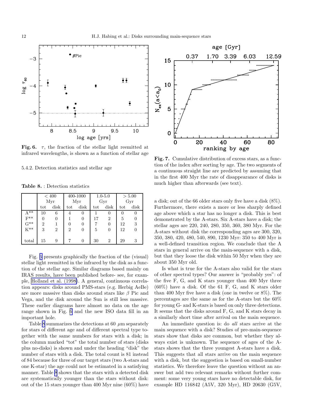<span id="page-11-0"></span>

Fig. 6.  $\tau$ , the fraction of the stellar light reemitted at infrared wavelengths, is shown as a function of stellar age

5.4.2. Detection statistics and stellar age

Table 8. : Detection statistics

|                     | < 400          |                |                | 400-1000 |     | $1.0 - 5.0$    | > 5.00 |          |
|---------------------|----------------|----------------|----------------|----------|-----|----------------|--------|----------|
|                     | Myr            |                | Myr            |          | Gyr |                | Gyr    |          |
|                     | tot            | disk           | tot            | disk     | tot | disk           | tot    | disk     |
| $A^{**}$            | 10             | 6              | 4              | $\theta$ |     | 0              | 0      | $\theta$ |
| $F^{**}$            | 0              | 0              |                | 0        | 17  | $\overline{2}$ | 5      | 0        |
| $G^{**}$            | $\overline{2}$ |                | 0              | 0        |     | $\theta$       | 12     | 3        |
| $\overline{K}^{**}$ | 3              | $\overline{2}$ | $\overline{2}$ | 0        | 5   | 0              | 12     | 0        |
|                     |                |                |                |          |     |                |        |          |
| total               | 15             | 9              |                | 0        | 30  | $\overline{2}$ | 29     | 3        |

Fig. 6 presents graphically the fraction of the (visual) stellar light reemitted in the infrared by the disk as a function of the stellar age. Similar diagrams based mainly on IRAS results, have been published before- see, for example, [Holland et al. \(1998\)](#page-14-0). A general, continuous correlation appears: disks around PMS-stars (e.g. Herbig AeBe) are more massive than disks around stars like  $\beta$  Pic and Vega, and the disk around the Sun is still less massive. These earlier diagrams have almost no data on the age range shown in Fig. 6 and the new ISO data fill in an important hole.

Table 8 summarizes the detections at 60  $\mu$ m separately for stars of different age and of different spectral type together with the same numbers for stars with a disk; in the column marked "tot" the total number of stars (disks plus no-disks) is shown and under the heading "disk" the number of stars with a disk. The total count is 81 instead of 84 because for three of our target stars (two A-stars and one K-star) the age could not be estimated in a satisfying manner. Table 8 shows that the stars with a detected disk are systematically younger than the stars without disk: out of the 15 stars younger than 400 Myr nine (60%) have



Fig. 7. Cumulative distribution of excess stars, as a function of the index after sorting by age. The two segments of a continuous straight line are predicted by assuming that in the first 400 Myr the rate of disappearance of disks is much higher than afterwards (see text).

a disk; out of the 66 older stars only five have a disk (8%). Furthermore, there exists a more or less sharply defined age above which a star has no longer a disk. This is best demonstrated by the A-stars. Six A-stars have a disk; the stellar ages are 220, 240, 280, 350, 360, 380 Myr. For the A-stars without disk the corresponding ages are 300, 320, 350, 380, 420, 480, 540, 890, 1230 Myr: 350 to 400 Myr is a well-defined transition region. We conclude that the A stars in general arrive on the main-sequence with a disk, but that they loose the disk within 50 Myr when they are about 350 Myr old.

Is what is true for the A-stars also valid for the stars of other spectral types? Our answer is "probably yes": of the five F, G, and K stars younger than 400 Myr three (60%) have a disk. Of the 61 F, G, and K stars older than 400 Myr five have a disk (one in twelve or 8%). The percentages are the same as for the A-stars but the 60% for young G- and K-stars is based on only three detections. It seems that the disks around F, G, and K stars decay in a similarly short time after arrival on the main sequence.

An immediate question is: do all stars arrive at the main sequence with a disk? Studies of pre-main-sequence stars show that disks are common, but whether they always exist is unknown. The sequence of ages of the Astars shows that the three youngest A-stars have a disk. This suggests that all stars arrive on the main sequence with a disk, but the suggestion is based on small-number statistics. We therefore leave the question without an answer but add two relevant remarks without further comment: some very young stars have no detectable disk, for example HD 116842 (A5V, 320 Myr), HD 20630 (G5V,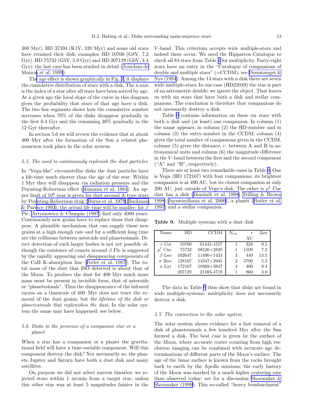300 Myr), HD 37394 (K1V, 320 Myr) and some old stars have retained their disk; examples: HD 10700 (G8V, 7.2 Gyr), HD 75732 (G5V, 5.0 Gyr) and HD 207129 (G0V, 4.4 Gyr); the last case has been studied in detail [\(Jourdain de](#page-14-0) Muizo[n et al. 1999](#page-14-0)).

Th[e age effect is shown graphically in Fig. 7; it displays](#page-13-0) the cumulative distribution of stars with a disk. The x-axis is the index of a star after all stars have been sorted by age. At a given age the local slope of the curve in this diagram gives the probability that stars of that age have a disk. The two line segments shows how the cumulative number increases when 70% of the disks disappear gradually in the first 0.4 Gyr and the remaining 30% gradually in the 12 Gyr thereafter.

In section 5.6 we will review the evidence that at about 400 Myr after the formation of the Sun a related phenomenon took place in the solar system.

#### 5.5. The need to continuously replenish the dust particles

In "Vega-like" circumstellar disks the dust particles have a life-time much shorter than the age of the star. Within 1 Myr they will disappear via radiation pressure and the Poynting-Robertson effect [\(Aumann et al. 1984](#page-13-0)). An upper limit of 10<sup>6</sup> year is given for dust around A-type stars by Po[ynting-Robertson drag \(](#page-14-0)[Burns et al. 1979](#page-13-0)[;](#page-14-0) [Backman](#page-13-0) [& Paresce 1993\); the actual life time will be smaller: for](#page-13-0)  $\beta$ Pic, [Artymowicz & Clampin \(1997\)](#page-13-0) find only 4000 years. Continuously new grains have to replace those that disappear. A plausible mechanism that can supply these new grains at a high enough rate and for a sufficient long time are the collisions between asteroids and planetesimals. Direct detection of such larger bodies is not yet possible although the existence of comets around  $\beta$  Pic is suggested by the rapidly appearing and disappearing components of the CaII K-absorption line([Ferlet et al. 1987\)](#page-13-0). The total mass of the dust that ISO detected is about that of the Moon. To produce the dust for 400 Myr much more mass must be present in invisible form, that of asteroids or "planetesimals". Thus the disappearance of the infrared excess on a timescale of 400 Myr does not trace the removal of the dust grains, but the lifetime of the disk or planetesimals that replenishes the dust. In the solar system the same may have happened; see below.

## 5.6. Disks in the presence of a companion star or a planet

When a star has a companion or a planet the gravitational field will have a time-variable component. Will this component destroy the disk? Not necessarily so: the planets Jupiter and Saturn have both a dust disk and many satellites.

On purpose we did not select narrow binaries: we rejected stars within 1 arcmin from a target star, unless this other star was at least 5 magnitudes fainter in the

V -band. This criterium accepts wide multiple-stars and indeed these occur. We used the Hipparcos Catalogue to check all 84 stars from Table [2](#page-3-0) for multiplicity. Forty-eight stars have an entry in the "Catalogue of companions of double and multiple stars" (=CCDM), see Dommanget  $\&$ Nys (1994). Among the 14 stars with a disk there are seven wide multiple-stars. In one case (HD22049) the star is part of an astrometric double; we ignore the object. That leaves us with six stars that have both a disk and stellar companions. The conclusion is therefore that companions do not necessarily destroy a disk.

Table 9 contains information on these six stars with both a disk and (at least) one companion. In column (1) the name appears, in column (2) the HD-number and in column (3) the entry-number in the CCDM; column (4) gives the total number of companions given in the CCDM, column  $(5)$  gives the distance, r, between A and B in astronomical units and column (6) the magnitude difference in the V -band between the first and the second component ("A" and "B", respectively).

There are at least two remarkable cases in Table 9. One is Vega (HD 172167) with four companions; its brightest companion is at 490 AU, but its closest companion at only 200 AU, just outside of Vega's disk. The other is  $\rho^1$  Cnc that has a disk [\(Dominik et al. 1998;](#page-13-0) [Trilling & Brown](#page-14-0) 1998; [Jayawardhana et al. 2000\)](#page-14-0), a planet([Butler et al.](#page-13-0) 1997) and a stellar companion.

Table 9. Multiple systems with a dust disk

| Name         | НD     | <b>CCDM</b>    | $N_{\rm tot}$ | $\boldsymbol{r}$ | $\Delta m$ |
|--------------|--------|----------------|---------------|------------------|------------|
|              |        |                |               | AU               |            |
| $\tau$ Cet   | 10700  | 01441-1557     |               | 328              | 9.5        |
| Cnc          | 75732  | $08526 + 2820$ |               | 1100             | 7.2        |
| $\beta$ Leo  | 102647 | $11490 + 1433$ | 3             | 440              | 13.5       |
| $\sigma$ Boo | 128167 | $14347 + 2945$ | 2             | 3700             | 5.3        |
| $\alpha$ Lyr | 172167 | 18369+3847     | 4             | 490              | 9.4        |
|              | 207129 | 21483-4718     |               | 860              | 3.0        |

The data in Table 9 thus show that disks are found in wide multiple-systems: multiplicity does not necessarily destroy a disk.

#### 5.7. The connection to the solar system

The solar system shows evidence for a fast removal of a disk of planetesimals a few hundred Myr after the Sun formed a disk. The best case is given by the surface of the Moon, where accurate crater counting from high resolution imaging can be combined with accurate age determinations of different parts of the Moon's surface. The age of the lunar surface is known from the rocks brought back to earth by the Apollo missions; the early history of the Moon was marked by a much higher cratering rate than observed today; see for a discussion [Shoemaker &](#page-14-0) [Shoemaker \(1999](#page-14-0)). This so-called "heavy bombardment"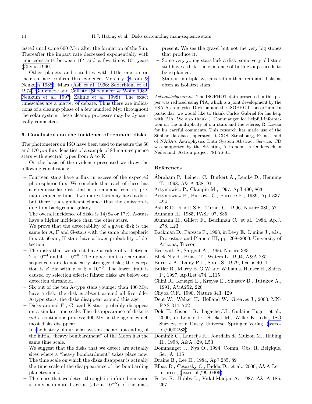<span id="page-13-0"></span>lasted until some 600 Myr after the formation of the Sun. Thereafter the impact rate decreased exponentially with time constants between  $10^7$  and a few times  $10^8$  years (Chyba 1990).

Other planets and satellites with little erosion on their surface confirm this evidence: Mercury [\(Strom &](#page-14-0) Neuku[m 1988\)](#page-14-0), Mars (Ash et al. 1996; [Soderblom et al.](#page-14-0) 197[4\) G](#page-14-0)anymede and Callisto([Shoemaker & Wolfe 1982](#page-14-0); [Neukum et al. 1997](#page-14-0); [Zahnle et al. 1998](#page-14-0)). The exact timescales are a matter of debate. Thus there are indications of a cleanup phase of a few hundred Myr throughout the solar system; these cleanup processes may be dynamically connected.

## 6. Conclusions on the incidence of remnant disks

The photometers on ISO have been used to measure the 60 and 170  $\mu$ m flux densities of a sample of 84 main-sequence stars with spectral types from A to K.

On the basis of the evidence presented we draw the following conclusions:

- Fourteen stars have a flux in excess of the expected photospheric flux. We conclude that each of these has a circumstellar disk that is a remnant from its premain-sequence time. Two more stars may have a disk, but there is a significant chance that the emission is due to a background galaxy.
- The overall incidence of disks is 14/84 or 17%. A-stars have a higher incidence than the other stars.
- We prove that the detectability of a given disk is the same for A, F and G-stars with the same photospheric flux at  $60 \mu m$ ; K stars have a lower probability of detection.
- The disks that we detect have a value of  $\tau$ , between  $2 \times 10^{-4}$  and  $4 \times 10^{-6}$ . The upper limit is real: mainsequence stars do not carry stronger disks; the exception is  $\beta$  Pic with  $\tau = 8 \times 10^{-3}$ . The lower limit is caused by selection effects: fainter disks are below our detection threshold.
- Six out of the ten A-type stars younger than 400 Myr have a disk; the disk is absent around all five older A-type stars: the disks disappear around this age.
- Disks around F-, G- and K-stars probably disappear on a similar time scale. The disappearance of disks is not a continuous process; 400 Myr is the age at which most disks disappear.
- In [the history of our solar system the abrupt ending of](http://arxiv.org/abs/astro-ph/0002283) the initial "heavy bombardment" of the Moon has the same time scale.
- We suggest that the disks that we detect are actually sites where a "heavy bombardment" takes place now. The time scale on which the disks disappear is actually the time scale of the disappearance of the bombarding planetesimals.
- The mass that we detect through its infrared emission is only a minute fraction (about  $10^{-5}$ ) of the mass

present. We see the gravel but not the very big stones that produce it.

- Some very young stars lack a disk; some very old stars still have a disk: the existence of both groups needs to be explained.
- Stars in multiple systems retain their remnant disks as often as isolated stars.

Acknowledgements. The ISOPHOT data presented in this paper was reduced using PIA, which is a joint development by the ESA Astrophysics Division and the ISOPHOT consortium. In particular, we would like to thank Carlos Gabriel for his help with PIA. We also thank J. Dommanget for helpful information on the multiplicity of our stars and the referee, R. Liseau for his careful comments. This research has made use of the Simbad database, operated at CDS, Strasbourg, France, and of NASA's Astrophysics Data System Abstract Service. CD was supported by the Stichting Astronomisch Onderzoek in Nederland, Astron project 781-76-015.

## References

- Abrahám P., Leinert C., Burkert A., Lemke D., Henning T., 1998, A& A 338, 91
- Artymowicz P., Clampin M., 1997, ApJ 490, 863
- Artymowicz P., Burrows C., Paresce F., 1989, ApJ 337, 494
- Ash R.D., Knott S.F., Turner G., 1996, Nature 380, 57
- Aumann H., 1985, PASP 97, 885
- Aumann H., Gillett F., Beichman C., et al., 1984, Ap.J. 278, L23
- Backman D., Paresce F., 1993, in Levy E., Lunine J., eds., Protostars and Planets III, pp. 208–2000, University of Arizona, Tucson
- Beckwith S., Sargent A., 1996, Nature 383
- Bliek N.v.d., Prusti T., Waters L., 1994, A&A 285
- Burns J.A., Lamy P.L., Soter S., 1979, Icarus 40, 1
- Butler R., Marcy E. G.W.and Williams, Hauser H., Shirts P., 1997, ApJLet 474, L115
- Chini R., Kruegel E., Kreysa E., Shustov B., Tutukov A., 1991, A&A252, 220
- Chyba C.F., 1990, Nature 343, 129
- Dent W., Walker H., Holland W., Greaves J., 2000, MN-RAS 314, 702
- Dole H., Gispert R., Lagache J.L. Guilaine Puget, et al., 2000, in Lemke D., Stickel M., Wilke K., eds., ISO Surveys of a Dusty Universe, Springer Verlag, [\(astro](http://arxiv.org/abs/astro-ph/0002283)ph/0002283)
- Dominik C., Laureijs R., Jourdain de Muizon M., Habing H., 1998, A&A 329, L53
- Dommanget J., Nys O., 1994, Comm. Obs. R. Belgique, Ser. A. 115
- Draine B., Lee H., 1984, ApJ 285, 89
- Elbaz D., Cesarsky C., Fadda D., et al., 2000, A&A Lett in press, [\(astro-ph/9910406\)](http://arxiv.org/abs/astro-ph/9910406)
- Ferlet R., Hobbs L., Vidal-Madjar A., 1987, A& A 185, 267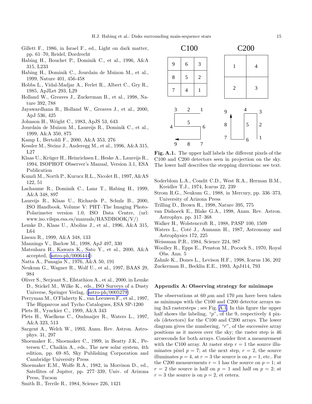- <span id="page-14-0"></span>Gillett F., 1986, in Israel F., ed., Light on dark matter, pp. 61–70, Reidel, Dordrecht
- Habing H., Bouchet P., Dominik C., et al., 1996, A&A 315, L233
- Habing H., Dominik C., Jourdain de Muizon M., et al., 1999, Nature 401, 456-458
- Hobbs L., Vidal-Madjar A., Ferlet R., Albert C., Gry R., 1985, ApJLet 293, L29
- Holland W., Greaves J., Zuckerman B., et al., 1998, Nature 392, 788
- Jayawardhana R., Holland W., Greaves J., et al., 2000, ApJ 536, 425
- Johnson H., Wright C., 1983, ApJS 53, 643
- Jourdain de Muizon M., Laureijs R., Dominik C., et al., 1999, A&A 350, 875
- Kamp I., Bertoldi F., 2000, A&A 353, 276
- Kessler M., Steinz J., Anderegg M., et al., 1996, A&A 315, L27
- Klaas U., Krüger H., Heinrichsen I., Heske A., Laureijs R., 1994, ISOPHOT Observer's Manual, Version 3.1, ESA Publication
- Kunzli M., North P., Kurucz R.L., Nicolet B., 1997, A&AS 122, 51
- Lachaume R., Dominik C., Lanz T., Habing H., 1999, A&A 348, 897
- Laureijs R., Klaas U., Richards P., Schulz B., 2000, ISO Handbook, Volume V: PHT–The Imaging Photo-Polarimeter version 1.0, ISO Data Centre, (url: www.iso.vilspa.esa.es/manuals/HANDBOOK/V/)
- Lemke D., Klaas U., Abolins J., et al., 1996, A&A 315, L64
- Liseau R., 1999, A&A 348, 133
- Mannings V., Barlow M., 1998, ApJ 497, 330
- Matsuhara H., Kawara K., Sato Y., et al., 2000, A&A accepted,([astro-ph/0006444](http://arxiv.org/abs/astro-ph/0006444))
- Natta A., Panagia N., 1976, A&A 50, 191
- Neukum G., Wagner R., Wolf U., et al., 1997, BAAS 29, 984
- Oliver S., Serjeant S., Efstathiou A., et al., 2000, in Lemke D., Stickel M., Wilke K., eds., ISO Surveys of a Dusty Universe, Springer Verlag, [\(astro-ph/0005279\)](http://arxiv.org/abs/astro-ph/0005279)
- Perryman M., O'Flaherty K., van Leeuwen F., et al., 1997, The Hipparcos and Tycho Catalogues, ESA SP-1200
- Plets H., Vynckier C., 1999, A&A 343
- Plets H., Waelkens C., Oudmaijer R., Waters L., 1997, A&A 323, 513
- Sargent A., Welch W., 1993, Annu. Rev. Astron. Astrophys. 31, 297
- Shoemaker E., Shoemaker C., 1999, in Beatty J.K., Petersen C., Chaikin A., eds., The new solar system, 4th edition, pp. 69–85, Sky Publishing Corporation and Cambridge University Press
- Shoemaker E.M., Wolfe R.A., 1982, in Morrison D., ed., Satellites of Jupiter, pp. 277–339, Univ. of Arizona Press, Tucson
- Smith B., Terrile R., 1984, Science 226, 1421



Fig. A.1. The upper half labels the different pixels of the C100 and C200 detectors seen in projection on the sky. The lower half describes the stepping directions: see text.

- Soderblom L.A., Condit C.D., West R.A., Herman B.M., Kreidler T.J., 1974, Icarus 22, 239
- Strom R.G., Neukum G., 1988, in Mercury, pp. 336–373, University of Arizona Press
- Trilling D., Brown R., 1998, Nature 395, 775
- van Dishoeck E., Blake G.A., 1998, Annu. Rev. Astron. Astrophys. pp. 317–368
- Walker H., Wolstencroft R., 1988, PASP 100, 1509
- Waters L., Coté J., Aumann H., 1987, Astronomy and Astrophysics 172, 225
- Weissman P.R., 1984, Science 224, 987
- Woolley R., Epps E., Penston M., Pocock S., 1970, Royal Obs. Ann. 5
- Zahnle K., Dones L., Levison H.F., 1998, Icarus 136, 202
- Zuckerman B., Becklin E.E., 1993, ApJ414, 793

## Appendix A: Observing strategy for minimaps

The observations at 60  $\mu$ m and 170  $\mu$ m have been taken as minimaps with the C100 and C200 detector arrays using 3x3 rastersteps ; see Fig. [A.1](#page-7-0). In this figure the upper half shows the labeling, "p", of the 9, respectively 4 pixels (detectors) for the C100 and C200 arrays. The lower diagram gives the numbering, "r", of the successive array positions as it moves over the sky; the raster step is 46 arcseconds for both arrays. Consider first a measurement with the C100 array. At raster step  $r = 1$  the source illuminates pixel  $p = 7$ ; at the next step,  $r = 2$ , the source illuminates  $p = 4$ , at  $r = 3$  the source is on  $p = 1$ , etc.. For the C200 measurements  $r = 1$  has the source on  $p = 1$ ; at  $r = 2$  the source is half on  $p = 1$  and half on  $p = 2$ ; at  $r = 3$  the source is on  $p = 2$ , et cetera.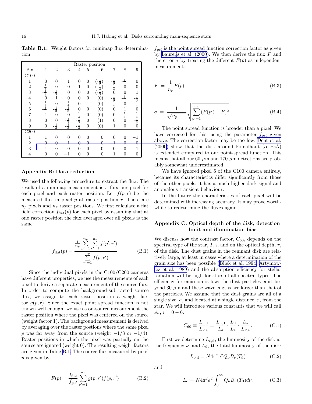<span id="page-15-0"></span>Table B.1. Weight factors for minimap flux determination

|                          |                                           |                |                                           |                                           |                | Raster position |                                           |                  |                                           |
|--------------------------|-------------------------------------------|----------------|-------------------------------------------|-------------------------------------------|----------------|-----------------|-------------------------------------------|------------------|-------------------------------------------|
| Pix                      | $\mathbf{1}$                              | $\overline{2}$ | 3                                         | 4                                         | 5              | 6               | 7                                         | 8                | 9                                         |
| C100                     |                                           |                |                                           |                                           |                |                 |                                           |                  |                                           |
| $\mathbf{1}$             | $\theta$                                  | $\overline{0}$ | 1                                         | 0                                         | $\Omega$       |                 |                                           | $\frac{1}{3}$    |                                           |
| $\overline{2}$           |                                           | 0              | $\theta$                                  | $\overline{1}$                            | $\theta$       | $\frac{1}{3}$   | $\frac{1}{3}$ $\frac{1}{3}$ $\frac{1}{0}$ |                  |                                           |
| $\overline{3}$           | $\frac{1}{3}$ $\frac{1}{3}$ $\frac{1}{0}$ | $\frac{1}{3}$  | $\theta$                                  | $\overline{0}$                            | $\overline{0}$ | $\frac{1}{3}$   |                                           | $\boldsymbol{0}$ |                                           |
| $\overline{4}$           |                                           |                | $\overline{0}$                            | $\overline{0}$                            | $\overline{0}$ | (0)             |                                           | $\frac{1}{3}$ 0  |                                           |
| $\sqrt{5}$               |                                           | $\overline{0}$ |                                           | $\overline{0}$                            | $\mathbf{1}$   | (0)             | $\frac{1}{3}$ $\frac{1}{4}$               |                  | $\frac{1}{3}$ $\frac{1}{4}$ $\frac{1}{0}$ |
| $\overline{6}$           | $\frac{1}{4}$ $\frac{1}{3}$               | $\frac{1}{3}$  | $\frac{1}{4}$ $\frac{1}{3}$ $\frac{1}{3}$ | $\boldsymbol{0}$                          | $\overline{0}$ | (0)             | $\overline{0}$                            | $\mathbf{1}$     |                                           |
| $\overline{7}$           | $\overline{1}$                            | $\bar{0}$      |                                           | $\frac{1}{3}$ $\frac{3}{1}$ $\frac{3}{3}$ | $\overline{0}$ | (0)             | $\overline{0}$                            | $\frac{1}{3}$    | $\frac{1}{3}$ $\frac{1}{3}$ $\frac{1}{3}$ |
| 8                        | $\theta$                                  | $\Omega$       | $\frac{1}{3}$                             |                                           | $\overline{0}$ |                 | $\overline{0}$                            |                  |                                           |
| 9                        | $\overline{0}$                            | $\frac{1}{3}$  | $\overline{2}$                            |                                           | $\overline{0}$ | (0)             | $\mathbf 1$                               | $\overline{0}$   |                                           |
| $\overline{\text{C}200}$ |                                           |                |                                           |                                           |                |                 |                                           |                  |                                           |
| $\mathbf{1}$             | 1                                         | $\theta$       | $\Omega$                                  | $\overline{0}$                            | $\Omega$       | $\Omega$        | $\overline{0}$                            | $\Omega$         |                                           |
| $\overline{2}$           | $\Omega$                                  | $\Omega$       | 1                                         | $\overline{0}$                            | $\Omega$       | $\Omega$        | $^{-1}$                                   | $\Omega$         | 0                                         |
| 3                        |                                           | 0              | $\Omega$                                  | $\overline{0}$                            | $\Omega$       | $\Omega$        | $\overline{0}$                            | $\Omega$         |                                           |
| $\overline{4}$           | $\theta$                                  | $\overline{0}$ | -1                                        | $\overline{0}$                            | $\overline{0}$ | $\overline{0}$  | $\overline{1}$                            | $\overline{0}$   | $\overline{0}$                            |

#### Appendix B: Data reduction

We used the following procedure to extract the flux. The result of a minimap measurement is a flux per pixel for each pixel and each raster position. Let  $f(p, r)$  be the measured flux in pixel  $p$  at raster position  $r$ . There are  $n_p$  pixels and  $n_r$  raster positions. We first calculate a flat field correction  $f_{\text{flat}}(p)$  for each pixel by assuming that at one raster position the flux averaged over all pixels is the same

$$
f_{\text{flat}}(p) = \frac{\frac{1}{n_p} \sum_{p'=1}^{n_p} \sum_{r'=1}^{n_r} f(p', r')}{\sum_{r'=1}^{n_r} f(p, r')} \tag{B.1}
$$

Since the individual pixels in the C100/C200 cameras have different properties, we use the measurements of each pixel to derive a separate measurement of the source flux. In order to compute the background-subtracted source flux, we assign to each raster position a weight factor  $q(p, r)$ . Since the exact point spread function is not known well enough, we use as on-source measurement the raster position where the pixel was centered on the source (weight factor 1). The background measurement is derived by averaging over the raster postions where the same pixel p was far away from the source (weight  $-1/3$  or  $-1/4$ ). Raster positions in which the pixel was partially on the source are ignored (weight 0). The resulting weight factors are given in Table [B.1.](#page-2-0) The source flux measured by pixel p is given by

$$
F(p) = \frac{f_{\text{flat}}}{f_{\text{psf}}} \sum_{r'=1}^{n_r} g(p, r') f(p, r')
$$
 (B.2)

 $f_{\text{psf}}$  is the point spread function correction factor as given by Laureijs et al.  $(2000)$ . We then derive the flux  $F$  and the error  $\sigma$  by treating the different  $F(p)$  as independent measurements.

$$
F = \frac{1}{n_p} F(p) \tag{B.3}
$$

$$
\sigma = \frac{1}{\sqrt{n_p - 1}} \sqrt{\sum_{p'=1}^{n_p} (F(p') - F)^2}
$$
 (B.4)

The point spread function is broader than a pixel. We have corrected for this, using the parameter  $f_{\text{psf}}$  given above. The correction factor may be too low: [Dent et al.](#page-13-0) (2000) show that the disk around Fomalhaut ( $\alpha$  PsA) is extended compared to our point-spread function. This means that all our 60  $\mu$ m and 170  $\mu$ m detections are probably somewhat underestimated.

We have ignored pixel 6 of the C100 camera entirely, because its characteristics differ significantly from those of the other pixels: it has a much higher dark signal and anomalous transient behaviour.

In the future the characteristics of each pixel will be determined with increasing accuracy. It may prove worthwhile to redetermine the fluxes again.

## Appendix C: Optical depth of the disk, detection limit and illumination bias

We discuss how the contrast factor,  $C_{60}$ , depends on the spectral type of the star,  $T_{\text{eff}}$ , and on the optical depth,  $\tau$ , of the disk. The dust grains in the remnant disk are relatively large, at least in cases where a determination of the grain size has been possible([Bliek et al. 1994; Artymow](#page-13-0)[icz et al. 1989](#page-13-0)) and the absorption efficiency for stellar radiation will be high for stars of all spectral types. The efficiency for emission is low: the dust particles emit beyond 30  $\mu$ m and these wavelengths are larger than that of the particles. We assume that the dust grains are all of a single size,  $a$ , and located at a single distance,  $r$ , from the star. We will introduce various constants that we will call  $A_i, i = 0 - 6.$ 

$$
C_{60} \equiv \frac{L_{\nu,d}}{L_{\nu,*}} = \frac{L_{\nu,d}}{L_d} \cdot \frac{L_d}{L_*} \cdot \frac{L_*}{L_{\nu,*}}.
$$
 (C.1)

First we determine  $L_{\nu,d}$ , the luminosity of the disk at the frequency  $\nu$ , and  $L_d$ , the total luminosity of the disk:

$$
L_{\nu, d} = N 4\pi^2 a^2 Q_{\nu} B_{\nu}(T_d)
$$
 (C.2)

and

$$
L_{\rm d} = N4\pi^2 a^2 \int_0^\infty Q_\nu B_\nu(T_{\rm d}) d\nu.
$$
 (C.3)